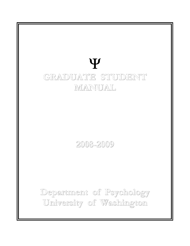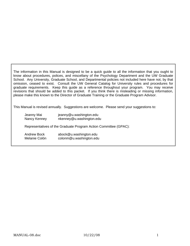The information in this Manual is designed to be a quick guide to all the information that you ought to know about procedures, polices, and miscellany of the Psychology Department and the UW Graduate School. Any University, Graduate School, and Departmental policies not included here have not, by that omission, ceased to exist. Consult the UW General Catalog for University rules and procedures for graduate requirements. Keep this guide as a reference throughout your program. You may receive revisions that should be added to this packet. If you think there is misleading or missing information, please make this known to the Director of Graduate Training or the Graduate Program Advisor.

This Manual is revised annually. Suggestions are welcome. Please send your suggestions to:

| Jeanny Mai<br>Nancy Kenney          | jeanny@u.washington.edu<br>nkenney@u.washington.edu              |
|-------------------------------------|------------------------------------------------------------------|
|                                     | Representatives of the Graduate Program Action Committee (GPAC): |
| <b>Andrew Bock</b><br>Melanie Colón | abock@u.washington.edu<br>colonm@u.washington.edu                |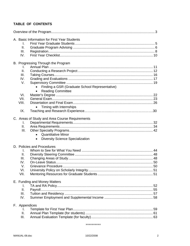# TABLE OF CONTENTS

|               | A. Basic Information for First Year Students   |  |
|---------------|------------------------------------------------|--|
| I.            |                                                |  |
| II.           |                                                |  |
| III.          |                                                |  |
| IV.           |                                                |  |
|               | B. Progressing Through the Program             |  |
| I.            |                                                |  |
| II.           |                                                |  |
| III.          |                                                |  |
| IV.           |                                                |  |
| V.            |                                                |  |
|               | Finding a GSR (Graduate School Representative) |  |
|               | <b>Reading Committee</b>                       |  |
| VI.           |                                                |  |
| VII.          |                                                |  |
| VIII.         |                                                |  |
|               | Timing with Internships                        |  |
| IX.           |                                                |  |
|               | C. Areas of Study and Area Course Requirements |  |
| I.            |                                                |  |
| Ш.            |                                                |  |
| III.          |                                                |  |
|               | <b>Quantitative Minor</b><br>$\bullet$         |  |
|               | <b>Diversity Science Specialization</b>        |  |
|               | D. Policies and Procedures                     |  |
| I.            |                                                |  |
| ΙΙ.           |                                                |  |
| III.          |                                                |  |
| IV.           |                                                |  |
| V.            |                                                |  |
| VI.           |                                                |  |
| VII.          |                                                |  |
|               | E. Funding and Money Matters                   |  |
| Τ.            |                                                |  |
| ΙΙ.           |                                                |  |
| Ш.            |                                                |  |
| IV.           |                                                |  |
| F. Appendices |                                                |  |
| I.            |                                                |  |
| ΙΙ.           |                                                |  |
| III.          |                                                |  |

#### \*\*\*\*\*\*\*\*\*\*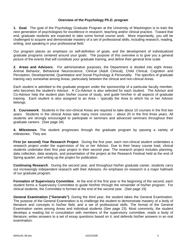## **Overview of the Psychology Ph.D. program**

**1. Goal**. The goal of the Psychology Graduate Program at the University of Washington is to train the next generation of psychologists for excellence in research, teaching and/or clinical practice. Toward that end, graduate students are expected to take some formal course work. More importantly, you will be challenged to acquire and demonstrate mastery of a set of professional skills, including research, reading, writing, and speaking in your professional field.

Our program places an emphasis on self-definition of goals, and the development of individualized graduate programs centered around your goals. The purpose of this overview is to give you a general picture of the events that will constitute your graduate training, and define their general time scale.

**2. Areas and Advisors**. For administrative purposes, the Department is divided into eight Areas: Animal Behavior, Behavioral Neuroscience, Clinical (Adult Clinical), Child Clinical, Cognition and Perception, Developmental, Quantitative and Social Psychology & Personality. The specifics of graduate training vary somewhat among Areas, particularly between the clinical and non-clinical Areas.

Each student is admitted to the graduate program under the sponsorship of a particular faculty member, who becomes the student's Advisor. A Co-Advisor is also selected for each student. The Advisor and Co-Advisor help the student plan his/her course of study, and guide him/her in all aspects of graduate training. Each student is also assigned to an Area -- typically the Area to which his or her Advisor belongs.

**3. Coursework**. Students in the non-clinical Areas are required to take about 10 courses in the first two years. Students in the clinical Areas take many more courses -- about 20 in the first three years. All students are strongly encouraged to participate in seminars and advanced seminars throughout their graduate careers. (See page 34)

**4. Milestones**. The student progresses through the graduate program by passing a variety of milestones. They are:

**First (or second) Year Research Project**. During the first year, each non-clinical student undertakes a research project under the supervision of his or her Advisor. Due to their heavy course load, clinical students undertake their first year project in their second year. The research project includes planning, data collection, data analysis, and presentation of the project at the Research Festival held at the end of Spring quarter, and writing up the project for publication.

**Continuing Research**. During the second year, and throughout his/her graduate career, students carry out increasingly independent research with their Advisors. An emphasis on research is a major hallmark of our graduate program.

**Formation of Supervisory Committee**. At the end of the first year or the beginning of the second, each student forms a Supervisory Committee to guide him/her through the remainder of his/her program. For clinical students, the Committee is formed at the end of the second year. (See page 19)

**General Examination ("Generals")**. During the third year, the student takes the General Examination. The purpose of the General Examination is to challenge the student to demonstrate mastery of a body of literature and concepts in his/her field, and a set of professional skills. The format of the General Examination varies among Areas and individual students (See page 23). Most commonly, the student develops a reading list in consultation with members of the supervisory committee, reads a body of literature, writes answers to a set of essay questions based on it, and defends his/her answers in an oral examination.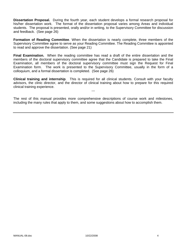**Dissertation Proposal.** During the fourth year, each student develops a formal research proposal for his/her dissertation work. The format of the dissertation proposal varies among Areas and individual students. The proposal is presented, orally and/or in writing, to the Supervisory Committee for discussion and feedback. (See page 26)

**Formation of Reading Committee**. When the dissertation is nearly complete, three members of the Supervisory Committee agree to serve as your Reading Committee. The Reading Committee is appointed to read and approve the dissertation. (See page 21)

**Final Examination.** When the reading committee has read a draft of the entire dissertation and the members of the doctoral supervisory committee agree that the Candidate is prepared to take the Final Examination, all members of the doctoral supervisory committee must sign the Request for Final Examination form. The work is presented to the Supervisory Committee, usually in the form of a colloquium, and a formal dissertation is completed. (See page 26)

**Clinical training and internship**. This is required for all clinical students. Consult with your faculty advisors, the clinic director, and the director of clinical training about how to prepare for this required clinical training experience.

---

The rest of this manual provides more comprehensive descriptions of course work and milestones, including the many rules that apply to them, and some suggestions about how to accomplish them.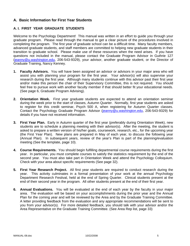# **A. Basic Information for First Year Students**

# **A. I. FIRST YEAR GRADUATE STUDENTS**

Welcome to the Psychology Department! This manual was written in an effort to guide you through your graduate program. Please read through the manual to get a clear picture of the procedures involved in completing the program. The first year of graduate school can be a difficult time. Many faculty members, advanced graduate students, and staff members are committed to helping new graduate students in their transition to graduate school. Please make use of these resources when the need arises. If you have questions not included in the manual, please contact the Graduate Program Advisor in Guthrie 127 (jeanny@u.washington.edu, 206-543-9329), your advisor, another graduate student, or the Director of Graduate Training, Nancy Kenney.

- **1. Faculty Advisors.** You will have been assigned an advisor or advisors in your major area who will assist you with planning your program for the first year. Your advisor(s) will also supervise your research during the first year. Although many students continue with this advisor past their first year and/or make this person the chair of their Supervisory Committee, this is not required. You should feel free to pursue work with another faculty member if that should better fit your educational needs. (See page 6, Graduate Program Advising).
- **2. Orientation Week.** First year graduate students are expected to attend an orientation seminar during the week prior to the start of classes, Autumn Quarter. Normally, first year students are asked to register for this credit seminar, Psych 500 A, when registering for Autumn Quarter classes. Contact the Psychology Graduate Program Advisor (jeanny@u.washington.edu, 206-543-9329) for details if you have not received information.
- **3. First Year Plan.** Early in Autumn quarter of the first year (preferably during Orientation Week), new students are to schedule a planning meeting with their advisor(s). After the meeting, the student is asked to prepare a written version of his/her goals, coursework, research, etc., for the upcoming year (the First Year Plan). New plans are prepared in May of each year, to discuss the following year (Annual Plan). In subsequent years, review of the year's Plan is part of the planning/evaluation meeting (See the template, page 10).
- **4. Course Requirements.** You should begin fulfilling departmental course requirements during the first year. In particular, you must complete courses to satisfy the statistics requirement by the end of the second year. You must also take part in Orientation Week and attend the Psychology Colloquium. Check with your area about specific requirements (See page 32).
- **5. First Year Research Project.** All first year students are required to conduct research during the year. This activity culminates in a formal presentation of your work at the annual Psychology Department Research Festival, held at the end of Spring Quarter. Clinical students present at the end of their second year in the program. All other students present at the end of their first year.
- **6. Annual Evaluations.** You will be evaluated at the end of each year by the faculty in your major area. The evaluation will be based on your accomplishments during the prior year and the Annual Plan for the coming year and will be reviewed by the Area and by the Graduate Training Committee. A letter providing feedback from the evaluation and any appropriate recommendations will be sent to you from your advisor(s). For more detailed feedback, you should talk with your advisor and/or the Area Representative on the Graduate Training Committee. (See Area Rep list, page 33)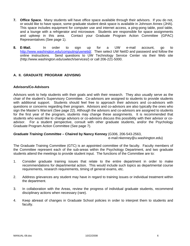- **7. Office Space.** Many students will have office space available through their advisors. If you do not, or would like to have space, some graduate student desk space is available in Johnson Annex (JHA). This space includes equipment for computer use and internet access, a ping-pong table, pool table, and a lounge with a refrigerator and microwave. Students are responsible for space assignments and upkeep in this area. Contact your Graduate Program Action Committee (GPAC) Representatives (See page 1).
- **8. E-Mail.** In order to sign up for a UW e-mail account, go to http://www.washington.edu/computing/uwnetid/. Then select UW NetID and password and follow the online instructions. Send questions to UW Technology Service Center via their Web site (http://www.washington.edu/uwtech/services/) or call 206-221-5000.

# **A. II. GRADUATE PROGRAM ADVISING**

## **Advisors/Co-Advisors**

Advisors work to help students with their goals and with their research. They also usually serve as the chair of the student's Supervisory Committee. Co-advisors are assigned to students to provide students with additional support. Students should feel free to approach their advisors and co-advisors with questions or concerns regarding their program. Advisors and co-advisors are also typically the ones who sign the Master's Warrant (See page 22). Although the advisors and co-advisors are assigned to students for the first year of the program, students may change these assignments. It is recommended that students who would like to change advisors or co-advisors discuss this possibility with their advisor or coadvisor. For a student perspective, consult with other graduate students, and/or the Psychology Graduate Program Action Committee (See page 7).

#### *Graduate Training Committee –* **Chaired by Nancy Kenney** (G306, 206-543-2563,

e-mail:nkenney@u.washington.edu)

The Graduate Training Committee (GTC) is an appointed committee of the faculty. Faculty members of the Committee represent each of the sub-areas within the Psychology Department, and two graduate students attend the meetings to provide student input. The functions of the Committee are to:

- 1. Consider graduate training issues that relate to the entire department in order to make recommendations for departmental action. This would include such topics as departmental course requirements, research requirements, timing of general exams, etc.
- 2. Address grievances any student may have in regard to training issues or individual treatment within the department.
- 3. In collaboration with the Areas, review the progress of individual graduate students, recommend disciplinary actions when necessary (rare).
- 4. Keep abreast of changes in Graduate School policies in order to interpret them to students and faculty.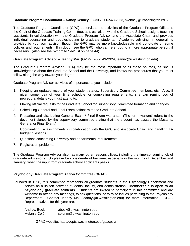#### **Graduate Program Coordinator – Nancy Kenney** (G-306, 206-543-2563, nkenney@u.washington.edu)

The Graduate Program Coordinator (GPC) supervises the activities of the Graduate Program Office, is the Chair of the Graduate Training Committee, acts as liaison with the Graduate School, assigns teaching assistants in collaboration with the Graduate Program Advisor and the Associate Chair, and provides individual counseling and troubleshooting to graduate students. Academic advising, in general, is provided by your own advisor, though the GPC may be more knowledgeable and up-to-date on some policies and requirements. If in doubt, see the GPC, who can refer you to a more appropriate person, if necessary. (Also see the 'Whom to See' list on page 44)

## **Graduate Program Advisor – Jeanny Mai** (G-127, 206-543-9329, jeanny@u.washington.edu)

The Graduate Program Advisor (GPA) may be the most important of all these sources, as she is knowledgeable about the Graduate School and the University, and knows the procedures that you must follow along the way toward your degree.

Graduate Program Advisor activities of importance to you include:

- 1. Keeping an updated record of your student status, Supervisory Committee members, etc. Also, if given some idea of your time schedule for completing requirements, she can remind you of procedural details you must attend to.
- 2. Making official requests to the Graduate School for Supervisory Committee formation and changes.
- 3. Scheduling General and Final Examinations with the Graduate School.
- 4. Preparing and distributing General Exam / Final Exam warrants. (The term 'warrant' refers to the document signed by the supervisory committee stating that the student has passed the Master's, General or Final Exam.)
- 5. Coordinating TA assignments in collaboration with the GPC and Associate Chair, and handling TA budget questions.
- 6. Questions concerning University and departmental requirements.
- 7. Registration problems.

The Graduate Program Advisor also has many other responsibilities, including the time-consuming job of graduate admissions. So please be considerate of her time, especially in the months of December and January, when the input from graduate school applicants peaks.

#### **Psychology Graduate Program Action Committee (GPAC)**

Founded in 1998, this committee represents all graduate students in the Psychology Department and serves as a liaison between students, faculty, and administration. **Membership is open to all psychology graduate students.** Students are invited to participate in this committee and are welcome to attend any meetings, to ask questions, or to raise issues pertaining to the Psychology Department. Contact Jeanny Mai (jeanny@u.washington.edu) for more information. GPAC Representatives for this year are:

Andrew Bock abock@u.washington.edu Melanie Colón colonm@u.washington.edu

GPAC website: http://depts.washington.edu/gpacpsy/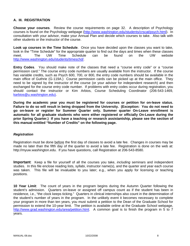## **A. III. REGISTRATION**

**Choose your courses**. Review the course requirements on page 32. A description of Psychology courses is found on the Psychology webpage (http://www.washington.edu/students/crscat/psych.html). In consultation with your advisor, make your Annual Plan and decide which courses to take. Also talk with other students or the instructor of the course.

**Look up courses in the Time Schedule**. Once you have decided upon the classes you want to take, look in the "Time Schedule" for the appropriate quarter to find out the days and times when these classes meet. The UW Time Schedule can be found on the UW website http://www.washington.edu/students/timeschd/.

**Entry Codes**. You should make note of the classes that need a "course entry code" or a "course permission card." The course entry code numbers are usually available from the instructor. If the course has variable credits, such as Psych 600, 700, or 800, the entry code numbers should be available in the main office of Guthrie (G-119A.) Course permission cards can be picked up at the main office. They need to be signed by the instructor of the course (or your advisor for independent research) and then exchanged for the course entry code number. If problems with entry codes occur during registration, you should contact the instructor or Kim Arbios, Course Scheduling Coordinator (206-543-1469, karbios@u.washington.edu).

**During the academic year you must be registered for courses or petition for on-leave status. Failure to do so will result in being dropped from the University. (Exception: You do not need to go on-leave or register for Summer Quarter only. Summer quarter On-Leave enrollment is automatic for all graduate students who were either registered or officially On-Leave during the prior Spring Quarter.) If you have a teaching or research assistantship, please see the section of this manual entitled "Number of Credits" on the following page.** 

#### *Registration*

Registration must be done before the first day of classes to avoid a late fee. Changes in courses may be made no later than the fifth day of the quarter to avoid a late fee. Registration is done on the web at: http://myuw.washington.edu. If you have questions, call Registration at 206-543-8580.

**Important**: Keep a file for yourself of all the courses you take, *including* seminars and independent studies. In this file enclose reading lists, syllabi, instructor name(s), and the quarter and year each course was taken. This file will be invaluable to you later; e.g., when you apply for licensing or teaching positions.

**10 Year Limit**: The count of years in the program begins during the Autumn Quarter following the student's admission. Quarters on-leave or assigned off campus count as if the student has been in residence, i.e., "the clock keeps ticking." Quarters in clinical internships also count in the determination of the student's number of years in the program. In the unlikely event it becomes necessary to complete your program in more than ten years, you must submit a petition to the Dean of the Graduate School for permission to extend the 10-year limit. The petition is available online at the Graduate School webpage, http://www.grad.washington.edu/area/petition.html. A common goal is to finish the program in 5 to 7 years.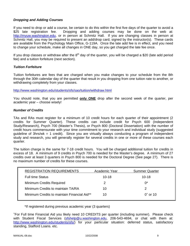## *Dropping and Adding Courses*

If you need to drop or add a course, be certain to do this within the first five days of the quarter to avoid a \$25 late registration fee. Dropping and adding courses may be done on the web at: http://myuw.washington.edu, or in person at Schmitz Hall. If you are changing classes in person at Schmitz Hall, you may be required to present an add/drop card, signed by the instructor(s). These cards are available from the Psychology Main Office, G-119A. Once the late add fee is in effect, and you need to change your schedule, make all changes in ONE day, so you get charged the late fee once.

If you drop classes or withdraw after the  $8<sup>th</sup>$  day of the quarter, you will be charged a \$20 (late add period fee) and a tuition forfeiture (next section).

## *Tuition Forfeiture*

Tuition forfeitures are fees that are charged when you make changes to your schedule from the 8th through the 30th calendar day of the quarter that result in you dropping from one tuition rate to another, or withdrawing completely from your classes.

http://www.washington.edu/students/sfs/sao/tuition/withdraw.html

You should note, that you are permitted **only ONE** drop after the second week of the quarter, per academic year – choose wisely!

## *Number of Credits*

TAs and RAs must register for a minimum of 10 credit hours for each quarter of their appointment (2 credits for Summer Quarter). These credits can include credit for Psych 600 (Independent Study/Research), Psych 700 (Master's Thesis), or Psych 800 (Doctoral Dissertation) with the number of credit hours commensurate with your time commitment to your research and individual study (suggested guideline of 3hrs/wk = 1 credit). Since you are virtually always conducting a program of independent study and research, you will generally register for several credits in one or more of these courses each quarter.

The tuition charge is the same for 7-18 credit hours. You will be charged additional tuition for credits in excess of 18. A minimum of 9 credits in Psych 700 is needed for the Master's degree. A minimum of 27 credits over at least 3 quarters in Psych 800 is needed for the Doctoral Degree (See page 27). There is no maximum number of credits for these courses.

| <b>REGISTRATION REQUIREMENTS</b>            | Academic Year | <b>Summer Quarter</b> |
|---------------------------------------------|---------------|-----------------------|
| <b>Full time Status</b>                     | $10 - 18$     | $10 - 18$             |
| <b>Minimum Credits Required</b>             |               | በ*                    |
| Minimum Credits to maintain TA/RA           | 10            | 2                     |
| Minimum Credits to maintain Financial Aid** | 10            | $0^{\circ}$ or 10     |

\*If registered during previous academic year (3 quarters)

+ For Full time Financial Aid you likely need 10 CREDITS per quarter (including summer). Please check with Student Fiscal Services (sfshelp@u.washington.edu, 206-543-4694, or chat with them at: http://www.washington.edu/students/sfs/) for your particular situation: deferred status, satisfactory standing, Stafford Loans. etc.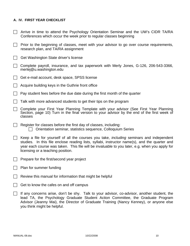## **A. IV. FIRST YEAR CHECKLIST**

- $\Box$  Arrive in time to attend the Psychology Orientation Seminar and the UW's CIDR TA/RA Conferences which occur the week prior to regular classes beginning
- $\Box$  Prior to the beginning of classes, meet with your advisor to go over course requirements, research plan, and TA/RA assignment
- $\Box$  Get Washington State driver's license
- $\Box$  Complete payroll, insurance, and tax paperwork with Merly Jones, G-126, 206-543-3366, merlej@u.washington.edu
- $\Box$  Get e-mail account, desk space, SPSS license
- $\Box$  Acquire building keys in the Guthrie front office
- F Pay student fees before the due date during the first month of the quarter
- $\Box$  Talk with more advanced students to get their tips on the program
- $\Box$  Complete your First Year Planning Template with your advisor (See First Year Planning Section, page 10) Turn in the final version to your advisor by the end of the first week of classes
- $\Box$  Register for classes before the first day of classes, including:  $\Box$  Orientation seminar, statistics sequence, Colloquium Series
- F Keep a file for yourself of all the courses you take, *including* seminars and independent studies. In this file enclose reading lists, syllabi, instructor name(s), and the quarter and year each course was taken. This file will be invaluable to you later, e.g. when you apply for licensing or a teaching position.
- $\Box$  Prepare for the first/second year project
- $\Box$  Plan for summer funding
- $\Box$  Review this manual for information that might be helpful
- $\Box$  Get to know the cafes on and off campus
- $\Box$  If any concerns arise, don't be shy. Talk to your advisor, co-advisor, another student, the lead TA, the Psychology Graduate Student Action Committee, the Graduate Program Advisor (Jeanny Mai), the Director of Graduate Training (Nancy Kenney), or anyone else you think might be helpful.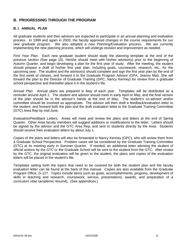# **B. PROGRESSING THROUGH THE PROGRAM**

## **B. I. ANNUAL PLAN**

All graduate students and their advisors are expected to participate in an annual planning and evaluation process. In 1999 and again in 2003, the faculty approved changes in the course requirements for our new graduate program. We also adopted a new Planning/Evaluation process. We are currently implementing the new planning process, which will undergo revision and improvement as needed.

*First Year Plan*. Each new graduate student should study the planning template at the end of the previous section (See page 10). He/she should meet with his/her advisor(s) prior to the beginning of Autumn Quarter, and begin developing a plan for the first year of study. After the meeting, the student should prepare a draft of his/her first year plan, including goals, coursework, research, etc., for the upcoming year. The student and the advisor(s) should complete and sign the first year plan by the end of the first week of classes, and forward it to the Graduate Program Advisor (GPA, Jeanny Mai). She will forward the plan to the Director of Graduate Training (GPC, Nancy Kenney) for review from a graduate school perspective and thereafter place it in the student's file.

*Annual Plan*. Annual plans are prepared in May of each year. Templates will be distributed as a reminder around April 1. The student and advisor should meet in early April or May, and the final version of the plan should be in the advisor's hands at the end of May. The student's co-advisor and/or committee should be involved as appropriate. The advisor will then draft a feedback/evaluation letter to the student, and forward both the plan and the draft evaluation letter to the Graduate Training Committee (GTC) Area Rep by mid-June.

*Evaluation/Feedback Letters.* Areas will meet and review the plans and letters at the end of Spring Quarter. Other Area faculty members will suggest additions or modifications to the letter. Letters should be signed by the advisor and the GTC Area Rep, and sent to students directly by the Area. Students should receive their evaluation letters by about July 1.

Copies of the plans and letters will also be forwarded to Nancy Kenney (GPC), who will review them from a Graduate School Perspective. Problem cases will be considered by the Graduate Training Committee (GTC) at its meeting early in Summer Quarter. If needed, an additional letter advising the student of official actions by the GTC or the Graduate School will be sent to the student from the GTC. After review by the GTC, the original evaluation will be given to the student, the plans and copies of the evaluation letters will be placed in the student's file.

Templates setting forth the topics that need to be covered for both the student plan and the faculty evaluation letter can be found at the back of this manual. Copies are also available from the Graduate Program Office, G-127. Topics include items such as goals, accomplishments, progress, development of skills in teaching and research, coursework, service, presentations, awards, and preparation of a *curriculum vitae* (academic résumé). (See appendices.)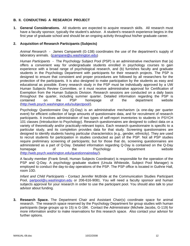## **B. II. CONDUCTING A RESEARCH PROJECT**

**1. General Considerations.** All students are expected to acquire research skills. All research must have a faculty sponsor, typically the student's advisor. A student's research experience begins in the first year of graduate school and should be an ongoing activity throughout his/her graduate career.

## **2. Acquisition of Research Participants (Subjects)**

*Animal Research* - James Campanelli (G-138) coordinates the use of the department's supply of laboratory animals. (jcampane@u.washington.edu)

*Human Participants -* The Psychology Subject Pool (PSP) is an administrative mechanism that (a) offers a convenient way for undergraduate students enrolled in psychology courses to gain experience with a broad range of psychological research, and (b) furnishes faculty and graduate students in the Psychology Department with participants for their research projects. The PSP is designed to ensure that consistent and proper procedures are followed by all researchers for the protection of the participants. It is also designed to make participation by the students as easy and educational as possible. Every research study in the PSP must be individually approved by a UW Human Subjects Review Committee, or it must receive administrative approval for Certification of Exemption from the Human Subjects Division. Research sessions are conducted on a daily basis throughout the quarter, including summer quarter. Detailed information regarding the PSP is contained on the PSP homepage of the department website (http://web.psych.washington.edu/subjectpool/).

Psychology Questionnaire Day (Q-Day) is an administrative mechanism (a one-day per quarter event) for efficient collection of large amounts of questionnaire data, and for recruitment of research participants. It involves administration of two types of self-report inventories to students in PSYCH 101 classes (Introduction to Psychology). Research questionnaires are designed to collect data on a variety of theoretically and/or practically-relevant topics. Each research questionnaire is specific to a particular study, and its completion provides data for that study. Screening questionnaires are designed to identify students having particular characteristics (e.g., gender, ethnicity). They are used to recruit students for participation in studies conducted as part of the PSP. Not all PSP studies require preliminary screening of participants; but for those that do, screening questionnaires are administered as a part of Q-Day. Detailed information regarding Q-Day is contained on the Q-Day homepage of the Psychology Department website (http://web.psych.washington.edu/questionnaireday/).

A faculty member (Frank Smoll, Human Subjects Coordinator) is responsible for the operation of the PSP and Q-Day. A psychology graduate student (Ursula Whiteside, Subject Pool Manager) is employed to conduct the day-to-day operations of the PSP. The PSP office is located in Guthrie Hall, room 10D.

*Infant and Child Participants* - Contact Jennifer McBride at the Communication Studies Participant Pool, partpool@u.washington.edu or 206-616-9081. You will need a faculty sponsor and human subjects approval for your research in order to use the participant pool. You should also talk to your advisor about funding.

**3. Research Space.** The Department Chair and Assistant Chair(s) coordinate space for animal research. The research space reserved by the Psychology Department for group studies with human participants (large groups up to 15) is G-184. Contact the Administrator (Michele Jacobs, G-119) for more information and/or to make reservations for this research space. Also contact your advisor for further options.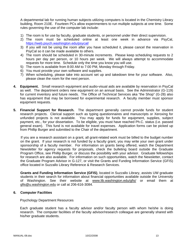A departmental lab for running human subjects utilizing computers is located in the Chemistry Library building, Room 210E. Fourteen PCs allow experimenters to run multiple subjects at one time. Some rules governing the use of the computer lab include:

- 1) The room is for use by faculty, graduate students, or personnel under their direct supervision.
- 2) The room must be scheduled online at least one week in advance via PsyCal, https://web.psych.washington.edu/psycal/
- 3) If you will not be using the room after you have scheduled it, please cancel the reservation in PsyCal so it can be made available to others.
- 4) The room should be scheduled in 30-minute increments. Please keep scheduling requests to 2 hours per day per person, or 10 hours per week. We will always attempt to accommodate requests for more time. Schedule only the time you know you will use.
- 5) The room is available from 8:00 AM to 7:00 PM, Monday through Friday.
- 6) You must provide your own software and supplies.
- 7) When scheduling, please take into account set up and takedown time for your software. Also, please clean the room for the next person.
- **4. Equipment.** Small research equipment and audio-visual aids are available by reservation in PsyCal as well. The department orders new equipment on an annual basis. See the Administrator (G-119) for current inventory and future needs. The Office of Technical Services aka "the Shop" (G-28) also has equipment that may be borrowed for experimental research. A faculty member must sponsor equipment requests.
- **5. Financial Support for Research.** The department generally cannot provide funds for student research projects. Clerical support such as typing questionnaires and manuscripts or Xeroxing for unfunded projects is not available. You may apply for funds for equipment, supplies, subject payment, etc., for your dissertation. To be eligible, you must have reached Ph.C. status (i.e. passed general exam). This fund is not available for travel expenses. Application forms can be picked up from Phillip Burger and submitted to the Chair of the department.

If you are a research assistant on a grant, all grant-related work must be billed to the budget number on the grant. If your research is not funded by a faculty grant, you may write your own grant under sponsorship of a faculty member. For information on grants being offered, watch the Department Newsletter for agency requests for proposals, check the bulleting board outside the Graduate Program Office, see Phillip Burger, or discuss the possibility with your advisor. Graduate fellowships for research are also available. For information on such opportunities, watch the Newsletter, contact the Graduate Program Advisor in G-127, or visit the Grants and Funding Information Service (GFIS) office located in Suzzallo Library Reference & Research Services.

**Grants and Funding Information Service (GFIS)**, located in Suzzallo Library, assists UW graduate students in their search for information about financial opportunities available outside the University of Washington. See their website at www.lib.washington.edu/gfis/ or email them at gfis@u.washington.edu or call at 206-616-3084.

#### **6. Computer Facilities**

Psychology Department Resources

Each graduate student has a faculty advisor and/or faculty person with whom he/she is doing research. The computer facilities of the faculty advisor/research colleague are generally shared with his/her graduate students.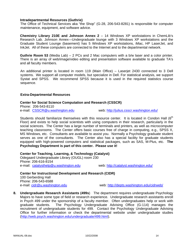#### **Intradepartmental Resources (Guthrie)**

The Office of Technical Services aka "the Shop" (G-28, 206-543-8281) is responsible for computer maintenance, equipment, and software advice.

**Chemistry Library 210E and Johnson Annex 2** – 14 Windows XP workstations in ChemLib's Research Lab. Johnson Annex—Undergraduate lounge with 3 Windows XP workstations and the Graduate Student Lounge (basement) has 5 Windows XP workstations, iMac, HP LaserJet, and InkJet. All of these computers are connected to the Internet and to the departmental network.

**Guthrie Room 53** (Media Lab) – 2 PCs and 2 Mac computers with a b/w laser and a color printer. There is an array of web/image/video editing and presentation software available to graduate TA's and all faculty members.

An additional printer is located in room 119 (Main Office) – Laserjet 2430 connected to 3 Dell systems. We support all computer models, but specialize in Dell. For statistical analysis, we support Systat and SPSS. We recommend SPSS because it is used in the required statistics course sequence.

#### **Extra-Departmental Resources**

#### **Center for Social Science Computation and Research (CSSCR)**

Phone: 206-543-8110

e-mail: CSSCR@u.washington.edu web: http://julius.csscr.washington.edu/

Students should familiarize themselves with this resource center. It is located in Condon Hall ( $6<sup>th</sup>$ Floor) and exists to help social scientists with using computers in their research, particularly in the social sciences. The Center has a large number of terminals and printers, as well as microcomputer teaching classrooms. The Center offers basic courses free of charge in computing, e.g., SPSS X, MS Windows, etc. Consultants are available to assist you. Normally a Psychology graduate student serves as one of the consultants. The Center also has a special facility for graduate students equipped with high-powered computers and statistical packages, such as SAS, M-Plus, etc. **The Psychology Department is part of this center. Please use it!**

**Center for Teaching, Learning, & Technology (Catalyst)**  Odegaard Undergraduate Library (OUGL) room 230 Phone: 206-616-8154 e-mail: catalysthelp@u.washington.edu web: http://catalyst.washington.edu/

**Center for Instructional Development and Research (CIDR)**  100 Gerberding Hall Phone: 206-543-6588 e-mail: cidr@u.washington.edu web: http://depts.washington.edu/cidrweb/

**8. Undergraduate Research Assistants (499s**) The department requires undergraduate Psychology Majors to have some type of field or research experience. Undergraduate research assistants enroll in Psych 499 under the sponsorship of a faculty member. Often undergraduates help or work with graduate students. The Psychology Undergraduate Advising Office (G-114) manages the recruitment of undergraduate students for 499. Contact the Psychology Undergraduate Advising Office for further information or check the departmental website under undergraduate studies (http://web.psych.washington.edu/undergraduate/499.html).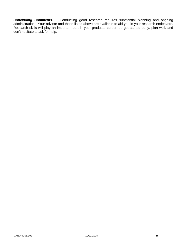**Concluding Comments.** Conducting good research requires substantial planning and ongoing administration. Your advisor and those listed above are available to aid you in your research endeavors. Research skills will play an important part in your graduate career, so get started early, plan well, and don't hesitate to ask for help.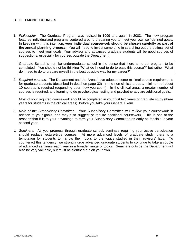## **B. III. TAKING COURSES**

1. *Philosophy.* The Graduate Program was revised in 1999 and again in 2003. The new program features individualized programs centered around preparing you to meet your own self-defined goals. In keeping with this intention, **your individual coursework should be chosen carefully as part of the annual planning process**. You will need to invest some time in searching out the optimal set of courses to meet your goals. Your advisor and advanced graduate students will be good sources of suggestions, especially for courses outside the Department.

Graduate School is not like undergraduate school in the sense that there is no set program to be completed. You should not be thinking "What do I need to do to pass this course?" but rather "What do I need to do to prepare myself in the best possible way for my career?"

2. *Required courses.* The Department and the Areas have adopted some minimal course requirements for graduate students (described in detail on page 32) In the non-clinical areas a minimum of about 10 courses is required (depending upon how you count). In the clinical areas a greater number of courses is required, and learning to do psychological testing and psychotherapy are additional goals.

Most of your required coursework should be completed in your first two years of graduate study (three years for students in the clinical areas), before you take your General Exam.

- *3. Role of the Supervisory Committee.* Your Supervisory Committee will review your coursework in relation to your goals, and may also suggest or require additional coursework. This is one of the reasons that it is to your advantage to form your Supervisory Committee as early as feasible in your second year.
- *4. Seminars.* As you progress through graduate school, seminars requiring your active participation should replace lecture-type courses. At more advanced levels of graduate study, there is a temptation for students to narrow their focus to the topics studied in their advisors' labs. To counteract this tendency, we strongly urge advanced graduate students to continue to take a couple of advanced seminars each year in a broader range of topics. Seminars outside the Department will also be very valuable, but must be sleuthed out on your own.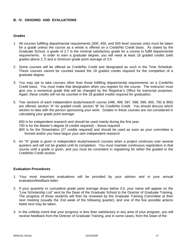## **B. IV. GRADING AND EVALUATIONS**

#### **Grades**

- 1. All courses fulfilling departmental requirements (300, 400, and 500 level courses only) must be taken for a grade unless the course as a whole is offered on a Credit/No Credit basis. As stated by the Graduate School, a grade of 2.7 is the minimal satisfactory grade for a course to fulfill departmental requirements. In order to earn a graduate degree, you will need at least 18 graded credits (with grades above 2.7) and a minimum grade point average of 3.0.
- 2. Some courses will be offered as Credit/No Credit and designated as such in the Time Schedule. These courses cannot be counted toward the 18 graded credits required for the completion of a graduate degree.
- 3. You may opt to take courses other than those fulfilling departmental requirements on a Credit/No Credit basis. You must make that designation when you register for the course. The instructor must give you a numerical grade that will be changed by the Registrar's Office for transcript purposes. Again, these credits will not be counted in the 18 graded credits required for graduation.
- 5. Two sections of each independent study/research course (498, 499, 597, 598, 599, 600, 700 & 800) are offered; section "A" for graded credit, section "B" for Credit/No Credit. You should discuss which section to take with the person sponsoring your work. Grades in these courses are not considered in calculating your grade point average.

600 is for independent research and should be used mainly during the first year. 700 is for the Master's degree (9 credits required) – thesis required 800 is for the Dissertation (27 credits required) and should be used as soon as your committee is formed and/or you have begun your own independent research

5. An "N" grade is given in independent study/research courses when a project continues over several quarters and will not be graded until its completion. You must maintain continuous registration in that course until a grade is given, and you must be consistent in registering for either the graded or the Credit/No Credit section.

### **Evaluation Procedures**

- 1. Your most important evaluations will be provided by your advisor and in your annual evaluation/feedback letter.
- 2. If your quarterly or cumulative grade point average drops below 3.0, your name will appear on the "Low Scholarship List" sent by the Dean of the Graduate School to the Director of Graduate Training. The progress of those students will then be reviewed by the Graduate Training Committee at their next meeting (usually the 2nd week of the following quarter), and one of the five possible actions listed next may be taken.
- 3. In the unlikely event that your progress is less than satisfactory in any area of your program, you will receive feedback from the Director of Graduate Training, and in some cases, from the Dean of the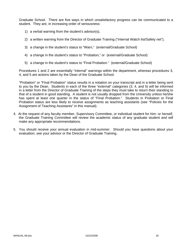Graduate School. There are five ways in which unsatisfactory progress can be communicated to a student. They are, in increasing order of seriousness:

- 1) a verbal warning from the student's advisor(s),
- 2) a written warning from the Director of Graduate Training ("Internal Watch list/Safety net"),
- 3) a change in the student's status to "Warn," (external/Graduate School)
- 4) a change in the student's status to "Probation," or (external/Graduate School)
- 5) a change in the student's status to "Final Probation." (external/Graduate School)

Procedures 1 and 2 are essentially "internal" warnings within the department, whereas procedures 3, 4, and 5 are actions taken by the Dean of the Graduate School.

"Probation" or "Final Probation" status results in a notation on your transcript and in a letter being sent to you by the Dean. Students in each of the three "external" categories (3, 4, and 5) will be informed in a letter from the Director of Graduate Training of the steps they must take to return their standing to that of a student in good standing. A student is not usually dropped from the University unless he/she has spent at least one quarter in the status of "Final Probation." Students in Probation or Final Probation status are less likely to receive assignments as teaching assistants (see "Policies for the Assignment of Teaching Assistants" in this manual).

- 4. At the request of any faculty member, Supervisory Committee, or individual student for him- or herself, the Graduate Training Committee will review the academic status of any graduate student and will make any appropriate recommendations.
- 5. You should receive your annual evaluation in mid-summer. Should you have questions about your evaluation, see your advisor or the Director of Graduate Training.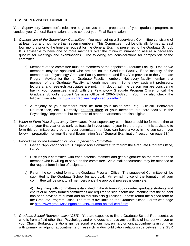# **B. V. SUPERVISORY COMMITTEE**

Your Supervisory Committee's roles are to guide you in the preparation of your graduate program, to conduct your General Examination, and to conduct your Final Examination.

- 1. *Composition of the Supervisory Committee*: You must set up a Supervisory Committee consisting of at least four and not more than seven members. This Committee must be officially formed at least four months prior to the time the request for the General Exam is presented to the Graduate School. It is advisable to have one or more members over the minimum number to assure a necessary quorum for meetings and examinations. The following are considerations for composition of the committee:
	- a) Members of the committee must be members of the appointed Graduate Faculty. One or two members may be appointed who are not on the Graduate Faculty, if the majority of the members are Psychology Graduate Faculty members, and if a CV is provided to the Graduate Program Advisor for the non-Graduate Faculty member. Not every faculty member is a member of the Graduate Faculty, although most are. Some new assistant professors, lecturers, and research associates are not. If in doubt, ask the person you are considering having your committee, check with the Psychology Graduate Program Office, or call the Graduate School's Student Services Office at 206-543-8720. You may also check the following website: http://www.grad.washington.edu/gradfac/
	- b) A majority of your members must be from your major area, e.g., Clinical, Behavioral Neuroscience, etc. Normally, at least three of your members are core faculty in the Psychology Department, but members of other departments are also eligible.
- 2. *When to Form Your Supervisory Committee*: Your supervisory committee should be formed either at the end of your first year or as early as feasible in your second year in the program. It is advisable to form this committee early so that your committee members can have a voice in the curriculum you follow in preparation for your General Examination (see "General Examination" section on page 23.)
- 3. *Procedures for the Formation of Your Supervisory Committee*:
	- a) Get an "Application for Ph.D. Supervisory Committee" form from the Graduate Program Office, G-127.
	- b) Discuss your committee with each potential member and get a signature on the form for each member who is willing to serve on the committee. An e-mail concurrence may be attached to the request form in lieu of a signature.
	- c) Return the completed form to the Graduate Program Office. The suggested Committee will be submitted to the Graduate School for approval. An e-mail notice of the formation of your committee will be sent to all members once the approval process is complete.

d) Beginning with committees established in the Autumn 2007 quarter, graduate students and chairs of all newly formed committees are required to sign a form documenting that the student has been advised of human and animal subjects guidelines. Please return the signed form to the Graduate Program Office. The form is available on the Graduate School Forms web page at: http://www.grad.washington.edu/stsv/human-animal-certif.htm

4. *Graduate School Representative (GSR)*: You are expected to find a Graduate School Representative who is from a field other than Psychology and who does not have any conflicts of interest with you or your Chair. Budgetary relationships, personal relationships, primary or joint appointments in common with primary or adjunct appointments or research and/or publication relationships between the GSR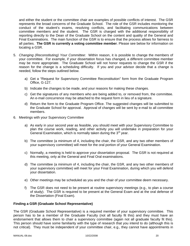and either the student or the committee chair are examples of possible conflicts of interest. The GSR represents the broad concerns of the Graduate School. The role of the GSR includes monitoring the conduct of the student's exams, resolving conflicts, and facilitating communications between committee members and the student. The GSR is charged with the additional responsibility of reporting directly to the Dean of the Graduate School on the content and quality of the General and Final Examinations. The main function of the GSR is to ensure that the process allows for fairness to all parties. **The GSR is currently a voting committee member**. Please see below for information on locating a GSR.

- 5. *Changing (Reconstituting) Your Committee*: Within reason, it is possible to change the members of your committee. For example, if your dissertation focus has changed, a different committee member may be more appropriate. The Graduate School will not honor requests to change the GSR if the reason for the change is a scheduling difficulty. If you and your advisor decide that a change is needed, follow the steps outlined below.
	- a) Get a "Request for Supervisory Committee Reconstitution" form from the Graduate Program Office, G-127.
	- b) Indicate the changes to be made, and your reasons for making these changes.
	- c) Get the signatures of any members who are being added to, or removed from, the committee. An e-mail concurrence may be attached to the request form in lieu of a signature.
	- d) Return the form to the Graduate Program Office. The suggested changes will be submitted to the Graduate School for approval. Approval of changes will be sent by e-mail to all committee members.
- 6. Meetings with your Supervisory Committee
	- a) As early in your second year as feasible, you should meet with your Supervisory Committee to plan the course work, reading, and other activity you will undertake in preparation for your General Examination, which is normally taken during the  $3^{rd}$  year.
	- b) The committee (a minimum of 4, including the chair, the GSR, and any two other members of your supervisory committee) will meet for the oral portion of your General Examination.
	- c) Normally, a meeting is held to approve your dissertation proposal. The GSR is not required at this meeting, only at the General and Final Oral examinations.
	- d) The committee (a minimum of 4, including the chair, the GSR, and any two other members of your supervisory committee) will meet for your Final Examination, during which you will defend your dissertation.
	- e) Other meetings may be scheduled as you and the chair of your committee deem necessary.
	- f) The GSR does not need to be present at routine supervisory meetings (e.g., to plan a course of study). The GSR is required to be present at the General Exam and at the oral defense of the Dissertation (Final Exam).

#### **Finding a GSR (Graduate School Representative)**

The GSR (Graduate School Representative) is a required member of your supervisory committee. This person has to be a member of the Graduate Faculty (not all faculty fit this) and they must have an endorsement that allows them to chair a supervisory committee (again not all graduate faculty fit this). This person should have some familiarity with the type of research that you intend to do (although this is not critical). They must be independent of your committee chair, e.g., they cannot have appointments in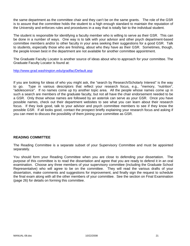the same department as the committee chair and they can't be on the same grants. The role of the GSR is to assure that the committee holds the student to a high enough standard to maintain the reputation of the University and enforces rules and procedures in a way that is totally fair to the individual student.

The student is responsible for identifying a faculty member who is willing to serve as their GSR. This can be done in a number of ways. One way is to talk with your advisor and other psych department-based committee members and/or to other faculty in your area seeking their suggestions for a good GSR. Talk to students, especially those who are finishing, about who they have as their GSR. Sometimes, though, the people known best in the department are not available for another committee appointment.

The Graduate Faculty Locator is another source of ideas about who to approach for your committee. The Graduate Faculty Locator is found at:

http://www.grad.washington.edu/gradfac/Default.asp

If you are looking for ideas of who you might ask, the "search by Research/Scholarly Interest" is the way to go. Type in various descriptors that reflect your research focus, e.g., "memory, "nutrition", "adolescence". If no names come up try another topic area. All the people whose names come up in such a search are members of the graduate faculty, but not all have the chair endorsement needed to be a GSR. Only those whose names are followed by an asterisk can serve as your GSR. Once you have possible names, check out their department websites to see what you can learn about their research focus. If they look good, talk to your advisor and psych committee members to see if they know the possible GSR. If all looks good, contact the prospect briefly explaining your research focus and asking if you can meet to discuss the possibility of them joining your committee as GSR.

## **READING COMMITTEE**

The Reading Committee is a separate subset of your Supervisory Committee and must be appointed separately.

You should form your Reading Committee when you are close to defending your dissertation. The purpose of this committee is to read the dissertation and agree that you are ready to defend it in an oral examination. Choose any three members of your supervisory committee (including the Graduate School Representative) who will agree to be on the committee. They will read the various drafts of your dissertation, make comments and suggestions for improvement, and finally sign the request to schedule the final exam along with all the other members of your committee. See the section on Final Examination (page 26) for details on forming this committee.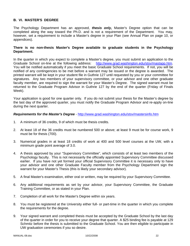## **B. VI. MASTER'S DEGREE**

The Psychology Department has an approved, *thesis only,* Master's Degree option that can be completed along the way toward the Ph.D. and is not a requirement of the Department. You may, however, set a requirement to include a Master's degree in your Plan (see Annual Plan on page 10, or appendices).

## **There is no non-thesis Master's Degree available to graduate students in the Psychology Department.**

In the quarter in which you expect to complete a Master's degree, you must submit an application to the Graduate School on-line at the following address: http://www.grad.washington.edu/stsv/mastapp.htm. You will be notified automatically if you meet the basic Graduate School requirements. If not, you will be notified of any contingencies to be met before a warrant may be issued or the degree is awarded. The printed warrant will be kept in your student file in Guthrie 127 until requested by you or your committee for signatures. Any two members of your supervisory committee, or your advisor and one other graduate faculty member, are required to sign the warrant for your Master's Degree. The signed warrant must be returned to the Graduate Program Advisor in Guthrie 127 by the end of the quarter (Friday of Finals Week).

Your application is good for one quarter only. If you do not submit your thesis for the Master's degree by the last day of the approved quarter, you must notify the Graduate Program Advisor and re-apply on-line during the next quarter.

#### *Requirements for the Master's Degree* - http://www.grad.washington.edu/stsv/mastersinfo.htm

- 1. A minimum of 36 credits, 9 of which must be thesis credits.
- 2. At least 18 of the 36 credits must be numbered 500 or above; at least 9 must be for course work, 9 must be for thesis (700).
- 3. Numerical grades in at least 18 credits of work at 400 and 500 level courses at the UW, with a minimum grade point average of 3.0.
- 4. A thesis approved by your "Supervisory Committee", which consists of at least two members of the Psychology faculty. This is not necessarily the officially appointed Supervisory Committee discussed earlier. If you have not yet formed your official Supervisory Committee it is necessary only to have your advisor and one other Graduate Faculty member from the Psychology Department sign the warrant for your Master's Thesis (this is likely your secondary advisor).
- 5. A final Master's examination, either oral or written, may be required by your Supervisory Committee.
- 6. Any additional requirements as set by your advisor, your Supervisory Committee, the Graduate Training Committee, or as stated in your Plan.
- 7. Completion of all work for the Master's Degree within six years.
- 8. You must be registered at the University either full- or part-time in the quarter in which you complete the requirements for the degree.
- 9. Your signed warrant and completed thesis must be accepted by the Graduate School by the last day of the quarter in order for you to receive your degree that quarter. A \$25 binding fee is payable at 129 Schmitz before the thesis is submitted to the Graduate School. You are then eligible to participate in UW graduation ceremonies if you so desire.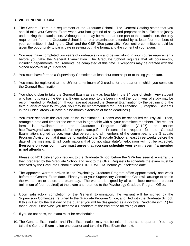## **B. VII. GENERAL EXAM**

- 1. The General Exam is a requirement of the Graduate School. The General Catalog states that you should take your General Exam when your background of study and preparation is sufficient to justify undertaking the examination. Although there may be more than one part to the examination, the only requirement from the Graduate School is an oral examination attended by at least four members of your committee, including the Chair and the GSR (See page 19). Your entire committee should be given the opportunity to participate in setting both the format and the content of your exam.
- 2. You must have completed two years of graduate study and be well along in your course requirements before you take the General Examination. The Graduate School requires that all coursework, including departmental requirements, be completed at this time. Exceptions may be granted with the signed approval of your advisor.
- 3. You must have formed a Supervisory Committee at least four months prior to taking your exam.
- 4. You must be registered at the UW for a minimum of 2 credits for the quarter in which you complete the General Examination.
- 5. You should plan to take the General Exam as early as feasible in the  $3<sup>rd</sup>$  year of study. Any student who has not passed the General Examination prior to the beginning of the fourth year of study may be recommended for Probation. If you have not passed the General Examination by the beginning of the third quarter of your fourth year, you may be recommended for Final Probation. (Exception: Students in the Clinical areas will have a nine-month extension of these deadlines.)
- 6. You must schedule the oral part of the examination. Rooms can be scheduled via PsyCal. Then, arrange a date and time for the exam that is agreeable with all your committee members. The request form is available in the Graduate Program Office (G-127) or online: http://www.grad.washington.edu/forms/genexam.pdf. Present the request for the General Examination, signed by you, your chairperson, and all members of the committee, to the Graduate Program Advisor so that it may be forwarded to the Graduate School at least three weeks before the date of the meeting. Email confirmations that do not state date/time/location will not be accepted. **Everyone on your committee must agree that you can schedule your exam, even if a member is not attending.**

Please do NOT deliver your request to the Graduate School before the GPA has seen it. A warrant is then prepared by the Graduate School and sent to the GPA. Requests to schedule the exam must be received by the Graduate School at least THREE WEEKS before your selected date.

- 7. The approved warrant arrives in the Psychology Graduate Program office approximately one week before the General Exam date. Either you or your Supervisory Committee Chair will arrange to obtain the warrant on or before the exam day. The warrant is signed by all committee members present (minimum of four required) at the exam and returned to the Psychology Graduate Program Office.
- 8. Upon satisfactory completion of the General Examination, the warrant will be signed by the Supervisory Committee, returned to the Graduate Program Office, and filed with the Graduate School. If this is filed by the last day of the quarter you will be designated as a doctoral Candidate (Ph.C.) for that quarter. Otherwise you become a Candidate at the end of the following quarter.
- 9. If you do not pass, the exam must be rescheduled.
- 10. The General Examination and Final Examination may not be taken in the same quarter. You may take the General Examination one quarter and take the Final Exam the next.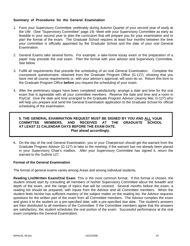## **Summary of Procedures for the General Examination**

- 1. Form your Supervisory Committee, preferably during Autumn Quarter of your second year of study at the UW. (See "Supervisory Committee" page 19) Meet with your Supervisory Committee as early as feasible in your second year to plan the curriculum that will prepare you for your examination and to plan the format of the exam. The Graduate School requires at least four months between the time your committee is officially appointed by the Graduate School and the date of your oral General Examination.
- 2. General Exams take several forms. For example, a take-home essay exam or the preparation of a paper may precede the oral exam. Plan the format with your advisor and Supervisory Committee. See below.
- 3. Fulfill all requirements that precede the scheduling of an oral General Examination. Complete the coursework questionnaire, obtained from the Graduate Program Office (G-127), showing that you have met all course requirements or, with your advisor's approval, will soon do so. Return this form to the Graduate Program Office **before** you request the scheduling of your exam.
- 4. After the preliminary stages have been completed satisfactorily, arrange a date and time for the oral exam that is agreeable with all your committee members. Reserve the date and time and a room in PsyCal. Give the date and time arranged to the Graduate Program Advisor (Jeanny Mai, G-127) who will help you prepare and send the General Examination application to the Graduate School for official scheduling of the examination.

## **5. THE GENERAL EXAMINATION REQUEST MUST BE SIGNED BY YOU AND ALL YOUR COMMITTEE MEMBERS, AND RECEIVED AT THE GRADUATE SCHOOL AT LEAST 21 CALENDAR DAYS BEFORE THE EXAM DATE. Plan ahead accordingly.**

6. On the day of the oral General Examination, you or your Chairperson should get the warrant from the Graduate Program Advisor (G-127) to take to the meeting, if the warrant has not already been placed in your Supervisory Chair's mailbox. After your Supervisory Committee has signed it, return the warrant to the Guthrie 127.

## **Format of the General Examination**

The format of general exams varies among Areas and among individual students.

**Reading List/Written Exam/Oral Exam**: This is the most common format. If this format is chosen, the student should start by consulting all members of his/her Supervisory Committee about the breadth and depth of the exam, and the range of topics that will be covered. Several months before the exam, a reading list should be prepared, with inputs from the Advisor and all Committee members. When the student feels he/she has sufficient mastery of the subject matter on the reading list, the Advisor requests questions for the written part of the exam from all Committee members. The Advisor compiles the exam and gives it to the student on a pre-specified date, with a pre-specified due date. The student's answers are then distributed to all members of the Committee. If the Committee members agree that the answers are satisfactory, the student schedules the oral portion of the exam. Successful performance at the oral exam completes the General Examination.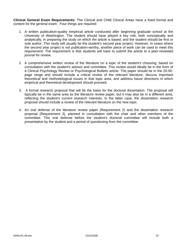**Clinical General Exam Requirements:** The Clinical and Child Clinical Areas have a fixed format and content for the general exam. Four things are required:

- 1. A written publication-quality empirical article conducted after beginning graduate school at the University of Washington. The student should have played a key role, both conceptually and analytically, in preparing the study on which the article is based, and the student should be first or sole author. This study will usually be the student's second year project. However, in cases where the second year project is not publication-worthy, another piece of work can be used to meet this requirement. The requirement is that students will have to submit the article to a peer-reviewed journal for review.
- 2. A comprehensive written review of the literature on a topic of the student's choosing, based on consultation with the student's advisor and committee. This review would ideally be in the form of a Clinical Psychology Review or Psychological Bulletin article. The paper should be in the 20-50 page range and should include a critical review of the relevant literature, discuss important theoretical and methodological issues in that topic area, and address future directions in which empirical and theoretical development should proceed.
- 3. A formal research proposal that will be the basis for the doctoral dissertation. The proposal will typically be in the same area as the literature review paper, but it may also be in a different area, reflecting the student's current research interests. In the latter case, the dissertation research proposal should include a review of the relevant literature on the new topic.
- 4. An oral defense of the literature review paper (Requirement 2) and the dissertation research proposal (Requirement 3), planned in consultation with the chair and other members of the committee. This oral defense before the student's doctoral committee will include both a presentation by the student and a period of questioning from the committee.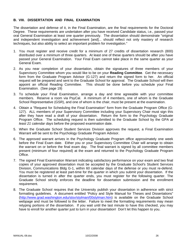## **B. VIII. DISSERTATION AND FINAL EXAMINATION**

The dissertation and defense of it, in the Final Examination, are the final requirements for the Doctoral Degree. These requirements are undertaken after you have received Candidate status, i.e., passed your oral General Examination at least one quarter previously. The dissertation should demonstrate "original and independent investigation and achievement [and]... should reflect not only mastery of research techniques, but also ability to select an important problem for investigation."

- 1. You must register and receive credit for a minimum of 27 credits of dissertation research (800) distributed over a minimum of three quarters. At least one of these quarters should be after you have passed your General Examination. Your Final Exam cannot take place in the same quarter as your General Exam.
- 2. As you near completion of your dissertation, obtain the signatures of three members of your Supervisory Committee whom you would like to be on your **Reading Committee**. Get the necessary form from the Graduate Program Advisor (G-127) and return the signed form to her. An official request will be prepared and sent to the Graduate School for approval. The Graduate School will then appoint an official Reading Committee. This should be done before you schedule your Final Examination. (See page 19)
- 3. To schedule your Final Examination, arrange a day and time agreeable with your committee members. Reserve a room via PsyCal. A minimum of 4 members, one of whom is the Graduate School Representative (GSR), and one of whom is the chair, must be present at the examination.
- 4. Obtain a "Request for Scheduling the Final Examination" form from the Graduate Program Office (G-127). ALL members of your Supervisory Committee including your Supervisory Chair must sign this after they have read a draft of your dissertation. Return the form to the Psychology Graduate Program Office. The scheduling request is then submitted to the Graduate School by the GPA *at least 21 calendar days* before the proposed examination date.
- 5. When the Graduate School Student Services Division approves the request, a Final Examination Warrant will be sent to the Psychology Graduate Program Advisor.
- 6. The approved warrant arrives in the Psychology Graduate Program office approximately one week before the Final Exam date. Either you or your Supervisory Committee Chair will arrange to obtain the warrant on or before the final exam day. The final warrant is signed by all committee members present (minimum of four required) at the exam and returned to the Psychology Graduate Program Office.
- 7. The signed Final Examination Warrant indicating satisfactory performance on your exam and two final copies of your approved dissertation must be accepted by the Graduate School's Student Services Division, Communications Bldg G-1, within 60 calendar days of the defense or you must re-defend. You must be registered at least part-time for the quarter in which you submit your dissertation. If the dissertation is turned in after the quarter ends, you must register for the following quarter. The Graduate School strictly enforces the deadline for dissertation submission and the enrollment requirement.
- 8. The Graduate School requires that the University publish your dissertation in adherence with strict formatting guidelines. A document entitled "Policy and Style Manual for Theses and Dissertations" (http://www.grad.washington.edu/stsv/stylman/00stylman.htm) is available on the Graduate School webpage and must be followed to the letter. Failure to meet the formatting requirements may mean retyping portions of the dissertation. If you wait until the last minute to have this checked, you may have to enroll for another quarter just to turn in your dissertation! Don't let this happen to you.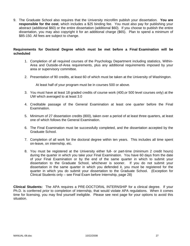9. The Graduate School also requires that the University microfilm publish your dissertation. **You are responsible for the cost**, which includes a \$25 binding fee. You must also pay for publishing your abstract (additional \$60) or the entire dissertation (additional \$60). If you choose to publish the entire dissertation, you may also copyright it for an additional charge (\$65). Plan to spend a minimum of \$85-150. All fees are subject to change.

## **Requirements for Doctoral Degree which must be met before a Final Examination will be scheduled**

- 1. Completion of all required courses of the Psychology Department including statistics, Within-Area and Outside-of-Area requirements, plus any additional requirements imposed by your area or supervisory committee.
- 2. Presentation of 90 credits, at least 60 of which must be taken at the University of Washington.

At least half of your program must be in courses 500 or above.

- 3. You must have at least 18 graded credits of course work (400,or 500 level courses only) at the UW which averaged to at least 3.0
- 4. Creditable passage of the General Examination at least one quarter before the Final Examination.
- 5. Minimum of 27 dissertation credits (800), taken over a period of at least three quarters, at least one of which follows the General Examination.
- 6. The Final Examination must be successfully completed, and the dissertation accepted by the Graduate School.
- 7. Completion of all work for the doctoral degree within ten years. This includes all time spent on-leave, on internship, etc.
- 8. You must be registered at the University either full- or part-time (minimum 2 credit hours) during the quarter in which you take your Final Examination. You have 60 days from the date of your Final Examination or by the end of the same quarter in which to submit your dissertation to the Graduate School, whichever is sooner. If you do not submit your dissertation in the same quarter in which you defended it, you must be registered for the quarter in which you do submit your dissertation to the Graduate School. (Exception for Clinical Students only – see Final Exam before Internship, page 28)

**Clinical Students:** The APA requires a PRE-DOCTORAL INTERNSHIP for a clinical degree. If your Ph.D. is conferred *prior* to completion of internship, that would violate APA regulations. When it comes time for licensing, you may find yourself ineligible. Please see next page for your options to avoid this situation.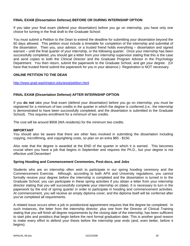## **FINAL EXAM (Dissertation Defense) BEFORE OR DURING INTERNSHIP OPTION**

If you take your final exam (defend your dissertation) before you go on internship, you have only one choice for turning in the final draft to the Graduate School:

You must submit a Petition to the Dean to extend the deadline for submitting your dissertation beyond the 60 days allowed. This petition must include a timetable for completion of the internship and submittal of the dissertation. Then you, your advisor, or a trusted friend holds everything – dissertation and signed warrant – until the final quarter of your internship, or the following quarter. Once your internship has been successfully completed, you should get a letter from your internship supervisor stating that this is the case and send copies to both the Clinical Director and the Graduate Program Advisor in the Psychology Department. You then return, submit the paperwork to the Graduate School, and get your degree. (Or have that trusted friend submit the paperwork for you in your absence.) Registration is NOT necessary.

#### **ONLINE PETITION TO THE DEAN**

http://www.grad.washington.edu/area/petition.html

## **FINAL EXAM (Dissertation Defense) AFTER INTERNSHIP OPTION**

If you **do not** take your final exam (defend your dissertation) before you go on internship, you must be registered for a minimum of two credits in the quarter in which the degree is conferred (i.e., the internship is demonstrated to have been successfully completed, and the dissertation is submitted to the Graduate School). This requires enrollment for a minimum of two credits.

The cost will be around \$958 (WA residents) for the minimum two credits.

#### **IMPORTANT**

You should also be aware that there are other fees involved in submitting the dissertation including copying, microfilming, and copyrighting costs, so plan on an extra \$85 - \$150.

Also note that the degree is awarded at the END of the quarter in which it is earned. This becomes crucial when you have a job that begins in September and requires the Ph.D., but your degree is not effective until December!

#### **Spring Hooding and Commencement Ceremonies, Post-docs, and Jobs**

Students who are on internship often wish to participate in our spring hooding ceremony and the Commencement Exercise. Although, according to both APA and University regulations, you cannot formally receive your degree before the internship is completed and the dissertation is turned in to the Graduate School, you can participate in these spring activities if you obtain a letter from your internship director stating that you will successfully complete your internship on (date). It is necessary to turn in the paperwork by the end of spring quarter in order to participate in hooding and commencement activities. At commencement, you will receive an empty diploma cover, and the diploma itself will be conferred after you've completed all requirements.

A related issue occurs when a job or postdoctoral appointment requires that the degree be completed. In such instances, the letter from the internship director, plus one from the Director of Clinical Training stating that you will finish all degree requirements by the closing date of the internship, has been sufficient to start jobs and postdocs that begin before the next formal graduation date. This is another good reason to make every effort to defend your thesis before the internship year ends (and, even better, before it begins).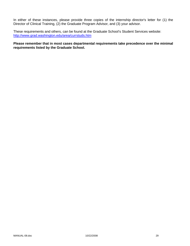In either of these instances, please provide three copies of the internship director's letter for (1) the Director of Clinical Training, (2) the Graduate Program Advisor, and (3) your advisor.

These requirements and others, can be found at the Graduate School's Student Services website: http://www.grad.washington.edu/area/currstuds.htm

## **Please remember that in most cases departmental requirements take precedence over the minimal requirements listed by the Graduate School.**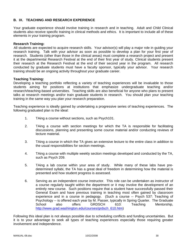## **B. IX. TEACHING AND RESEARCH EXPERIENCE**

Your graduate experience should involve training in research and in teaching. Adult and Child Clinical students also receive specific training in clinical methods and ethics. It is important to include all of these elements in your training program.

#### **Research Training:**

All students are expected to acquire research skills. Your advisor(s) will play a major role in guiding your research training. Talk with your advisor as soon as possible to develop a plan for your first year of research. Students (other than those in the clinical areas) must complete a research project and present it at the departmental Research Festival at the end of their first year of study. Clinical students present their research at the Research Festival at the end of their second year in the program. All research conducted by graduate students must have a faculty sponsor, typically your advisor. Your research training should be an ongoing activity throughout your graduate career.

## **Teaching Training:**

Developing a teaching portfolio reflecting a variety of teaching experiences will be invaluable to those students aiming for positions at institutions that emphasize undergraduate teaching and/or research/teaching-based universities. Teaching skills are also beneficial for anyone who plans to present talks at research meetings and/or train graduate students in research. You should plan your teaching training in the same way you plan your research preparation.

Teaching experience is ideally gained by undertaking a progressive series of teaching experiences. The following graduated plan is the ideal:

- 1. TAing a course without sections, such as Psych101.
- 2. TAing a course with section meetings for which the TA is responsible for facilitating discussions, planning and presenting some course material and/or conducting reviews of lecture material.
- 3. TAing a course in which the TA gives an extensive lecture to the entire class in addition to the usual responsibilities for section meetings.
- 4. TAing a course with multiple weekly section meetings developed and conducted by the TA, such as Psych 209.
- 5. TAing a lab course within your area of study. While many of these labs have predetermined syllabi, the TA has a great deal of freedom in determining how the material is presented and how student progress is assessed.
- 6. Serving as an independent course instructor. This role can be undertaken as instructor of a course regularly taught within the department or it may involve the development of an entirely new course. Such positions require that a student have successfully passed their General Exam and have previous training in teaching most often gained by classroom experience and in a course in pedagogy. (Such a course -- Psych 537: Teaching of Psychology -- is offered each year by M. Passer, typically in Spring Quarter. The Graduate School also offers GRDSCH 610: Teaching Mentorship, http://www.grad.washington.edu/courses/grdsch\_610.htm)

Following this ideal plan is not always possible due to scheduling conflicts and funding uncertainties. But it is to your advantage to seek all types of teaching experiences especially those requiring greater involvement and independence.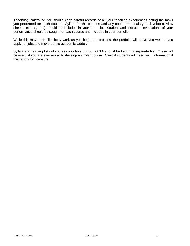**Teaching Portfolio:** You should keep careful records of all your teaching experiences noting the tasks you performed for each course. Syllabi for the courses and any course materials you develop (review sheets, exams, etc.) should be included in your portfolio. Student and instructor evaluations of your performance should be sought for each course and included in your portfolio.

While this may seem like busy work as you begin the process, the portfolio will serve you well as you apply for jobs and move up the academic ladder.

Syllabi and reading lists of courses you take but do not TA should be kept in a separate file. These will be useful if you are ever asked to develop a similar course. Clinical students will need such information if they apply for licensure.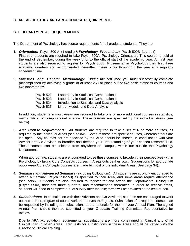# **C. AREAS OF STUDY AND AREA COURSE REQUIREMENTS**

# **C. I. DEPARTMENTAL REQUIREMENTS**

The Department of Psychology has course requirements for all graduate students. They are:

- **1.** *Orientation:* Psych 500 A (1 credit) & *Psychology Proseminar:* Psych 500B (1 credit) First year students are required to take Psych 500A, Psychology Orientation. This course is held at the end of September, during the week prior to the official start of the academic year. All first year students are also required to register for Psych 500B, Proseminar in Psychology their first three academic quarters and recommended thereafter. These occur throughout the year at a regularly scheduled time.
- **2.** *Statistics and General Methodology: During the first year*, you must successfully complete (accomplished by achieving a grade of at least 2.7) or place out of two basic statistics courses and two laboratories:

| Laboratory in Statistical Computation I      |
|----------------------------------------------|
| Laboratory in Statistical Computation II     |
| Introduction to Statistics and Data Analysis |
| Linear Models and Data Analysis              |
|                                              |

In addition, students in most Areas are required to take one or more additional courses in statistics, mathematics, or computational science. These courses are specified by the individual Areas (see below).

**3.** *Area Course Requirements:* All students are required to take a set of 6 or more courses, as required by the individual Areas (see below). Some of these are specific courses, whereas others are left open. Any courses not pre-specified by the Area should be chosen, in consultation with your Advisor and Co-Advisor, to broaden and deepen your understanding of your chosen research field. These courses can be selected from anywhere on campus, within our outside the Psychology Department.

When appropriate, students are encouraged to use these courses to broaden their perspectives within Psychology by taking Core Concepts courses in Areas outside their own. Suggestions for appropriate out-of-Area Core Concepts courses are made by most of the individual Areas (See page 34).

- **4.** *Seminars and Advanced Seminars* (including Colloquium): All students are strongly encouraged to attend a Seminar (Psych 550-558) as specified by their Area, and some areas require attendance (see below). Students are also required to register for and attend the Departmental Colloquium (Psych 550A) their first three quarters, and recommended thereafter. In order to receive credit, students will need to complete a brief survey after the talk; forms will be provided at the lecture hall.
- **5.** *Substitutions***:** In consultation with their Advisors and Co-Advisors, students are encouraged to work out a coherent program of coursework that serves their goals. Substitutions for required courses can be requested by including the substitutions and a rationale for them in your Annual Plan. The signed Annual Plan should then be submitted to your Graduate Training Committee Representative for review.

Due to APA accreditation requirements, substitutions are more constrained in Clinical and Child Clinical than in other Areas. Requests for substitutions in these Areas should be vetted with the Director of Clinical Training.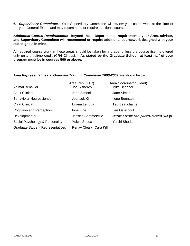**6.** *Supervisory Committee.* Your Supervisory Committee will review your coursework at the time of your General Exam, and may recommend or require additional courses.

## *Additional Course Requirements***: Beyond these Departmental requirements, your Area, advisor, and Supervisory Committee will recommend or require additional coursework designed with your stated goals in mind.**

All required course work in these areas should be taken for a grade, unless the course itself is offered only on a credit/no credit (CR/NC) basis. **As stated by the Graduate School, at least half of your program must be in courses 500 or above.**

## *Area Representatives - Graduate Training Committee 2008-2009* are shown below

|                                         | Area Rep (GTC)          | Area Coordinator (Head)                      |
|-----------------------------------------|-------------------------|----------------------------------------------|
| <b>Animal Behavior</b>                  | <b>Joe Sisneros</b>     | Mike Beecher                                 |
| <b>Adult Clinical</b>                   | Jane Simoni             | Jane Simoni                                  |
| <b>Behavioral Neuroscience</b>          | Jeansok Kim             | Ilene Bernstein                              |
| <b>Child Clinical</b>                   | Liliana Lengua          | <b>Ted Beauchaine</b>                        |
| <b>Cognition and Perception</b>         | Ione Fine               | Lee Osterhout                                |
| Developmental                           | Jessica Sommerville     | Jessica Sommerville (A) Andy Meltzoff (W/Sp) |
| Social Psychology & Personality         | Yuichi Shoda            | Yuichi Shoda                                 |
| <b>Graduate Student Representatives</b> | Renay Cleary, Cara Kiff |                                              |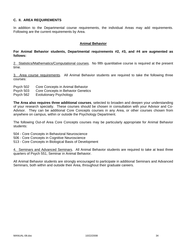## **C. II. AREA REQUIREMENTS**

In addition to the Departmental course requirements, the individual Areas may add requirements. Following are the current requirements by Area.

#### **Animal Behavior**

### **For Animal Behavior students, Departmental requirements #2, #3, and #4 are augmented as follows:**

2. Statistics/Mathematics/Computational courses. No fifth quantitative course is required at the present time.

3. Area course requirements. All Animal Behavior students are required to take the following three courses:

- Psych 502 Core Concepts in Animal Behavior
- Psych 503 Core Concepts in Behavior Genetics
- Psych 562 Evolutionary Psychology

**The Area also requires three additional courses**, selected to broaden and deepen your understanding of your research specialty. These courses should be chosen in consultation with your Advisor and Co-Advisor. They can be additional Core Concepts courses in any Area, or other courses chosen from anywhere on campus, within or outside the Psychology Department.

The following Out-of Area Core Concepts courses may be particularly appropriate for Animal Behavior students:

504 - Core Concepts in Behavioral Neuroscience

- 506 Core Concepts in Cognitive Neuroscience
- 513 Core Concepts in Biological Basis of Development

4. Seminars and Advanced Seminars. All Animal Behavior students are required to take at least three quarters of Psych 551, Seminar in Animal Behavior.

All Animal Behavior students are strongly encouraged to participate in additional Seminars and Advanced Seminars, both within and outside their Area, throughout their graduate careers.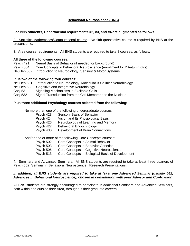## **Behavioral Neuroscience (BNS)**

#### **For BNS students, Departmental requirements #2, #3, and #4 are augmented as follows:**

2. Statistics/Mathematics/Computational course. No fifth quantitative course is required by BNS at the present time.

3. Area course requirements. All BNS students are required to take 8 courses, as follows:

#### **All three of the following courses:**

Psych 421 Neural Basis of Behavior (if needed for background) Psych 504 Core Concepts in Behavioral Neuroscience (enrollment for 2 Autumn qtrs) NeuBeh 502 Introduction to Neurobiology: Sensory & Motor Systems

#### **Plus two of the following four courses:**

- NeuBeh 501 Introduction to Neurobiology: Molecular & Cellular Neurobiology
- NeuBeh 503 Cognitive and Integrative Neurobiology
- Conj 531 Signaling Mechanisms in Excitable Cells
- Conj 532 Signal Transduction from the Cell Membrane to the Nucleus

#### **Plus three additional Psychology courses selected from the following:**

No more than one of the following undergraduate courses:

- Psych 423 Sensory Basis of Behavior
- Psych 424 Vision and Its Physiological Basis
- Psych 426 Neurobiology of Learning and Memory
- Psych 427 Behavioral Endocrinology
- Psych 430 Development of Brain Connections

And/or one or more of the following Core Concepts courses:

- Psych 502 Core Concepts in Animal Behavior
	- Psych 503 Core Concepts in Behavior Genetics
- Psych 506 Core Concepts in Cognitive Neuroscience
- Psych 513 Core Concepts in Biological Basis of Development

4. Seminars and Advanced Seminars. All BNS students are required to take at least three quarters of Psych 552, Seminar in Behavioral Neuroscience: Research Presentations.

#### *In addition, all BNS students are required to take at least one Advanced Seminar (usually 542, Advances in Behavioral Neuroscience), chosen in consultation with your Advisor and Co-Advisor.*

All BNS students are strongly encouraged to participate in additional Seminars and Advanced Seminars, both within and outside their Area, throughout their graduate careers.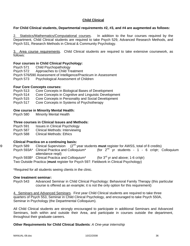## **Child Clinical**

## **For Child Clinical students, Departmental requirements #2, #3, and #4 are augmented as follows:**

2. Statistics/Mathematics/Computational courses. In addition to the four courses required by the Department, Child Clinical students are required to take Psych 529, Advanced Research Methods, and Psych 531, Research Methods in Clinical & Community Psychology.

3. Area course requirements. Child Clinical students are required to take extensive coursework, as follows:

#### **Four courses in Child Clinical Psychology:**

- Psych 571 Child Psychopathology
- Psych 572 Approaches to Child Treatment
- Psych 576/590 Assessment of Intelligence/Practicum in Assessment
- Psych 573 Psychological Assessment of Children

#### **Four Core Concepts courses:**

- Psych 513 Core Concepts in Biological Bases of Development
- Psych 514 Core Concepts in Cognitive and Linguistic Development
- Psych 515 Core Concepts in Personality and Social Development
- Psych 517 Core Concepts in Systems of Psychotherapy

## **One course in Minority Mental Health:**

Psych 580 Minority Mental Health

## **Three courses in Clinical Issues and Methods:**

- Psych 591 Issues in Clinical Psychology
- Psych 587 Clinical Methods: Interviewing
- Psych 588 Clinical Methods: Ethics

## **Clinical Practica on a continuing basis:**

- 89 Psych 589 Clinical Supervision (2<sup>nd</sup> year students **must** register for AWSS, total of 8 credits)<br>Psych 593A\* Clinical Practica and Colloguium\* (for 2<sup>nd</sup> yr students 1 6 cr/gtr; Q
	- (for  $2^{nd}$  yr students 1 6 cr/qtr; Colloquium attendance reqd)
	- Psych 593B\* Clinical Practica and Colloquium\* (for  $3^{rd}$  yr and above; 1-6 cr/qtr)
	- Two Outside Practica (**must** register for Psych 597: Fieldwork in Clinical Psychology)

\*Required for all students seeing clients in the clinic.

## **One treatment seminar:**

Psych 543 Advanced Seminar in Child Clinical Psychology: Behavioral Family Therapy (this particular course is offered as an example; it is not the only option for this requirement)

4. Seminars and Advanced Seminars. First year Child Clinical students are required to take three quarters of Psych 553, Seminar in Child Clinical Psychology, and encouraged to take Psych 550A, Seminar in Psychology (the Departmental Colloquium).

All Child Clinical students are strongly encouraged to participate in additional Seminars and Advanced Seminars, both within and outside their Area, and participate in courses outside the department, throughout their graduate careers.

## **Other Requirements for Child Clinical Students**: *A One-year internship*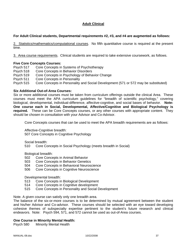# **Adult Clinical**

## **For Adult Clinical students, Departmental requirements #2, #3, and #4 are augmented as follows:**

2. Statistics/mathematics/computational courses. No fifth quantitative course is required at the present time.

3. Area course requirements. Clinical students are required to take extensive coursework, as follows.

## **Five Core Concepts Courses:**

Psych 517 Core Concepts in Systems of Psychotherapy Psych 518 Core Concepts in Behavior Disorders Psych 519 Core Concepts in Psychology of Behavior Change Psych 511 Core Concepts in Personality Psych 515 Core Concepts in Personality and Social Development (571 or 572 may be substituted)

## **Six Additional Out-of-Area Courses:**

Six or more additional courses must be taken from curriculum offerings outside the clinical Area. These courses must meet the APA curriculum guidelines for "breadth of scientific psychology," covering biological, developmental, individual-difference, affective-cognitive, and social bases of behavior. **Note: One course each in Social, Developmental, Affective/Cognitive and Biological Psychology is required***.* These can be Core Concepts courses, or any other courses with appropriate content. They should be chosen in consultation with your Advisor and Co-Advisor.

Core Concepts courses that can be used to meet the APA breadth requirements are as follows:

Affective-Cognitive breadth:

507 Core Concepts in Cognitive Psychology

Social breadth:

510 Core Concepts in Social Psychology (meets breadth in Social)

Biological breadth:

- 502 Core Concepts in Animal Behavior
- 503 Core Concepts in Behavior Genetics
- 504 Core Concepts in Behavioral Neuroscience
- 506 Core Concepts in Cognitive Neuroscience

Developmental breadth:

- 513 Core Concepts in Biological Development
- 514 Core Concepts in Cognitive development
- 515 Core Concepts in Personality and Social Development

Note. A given course can satisfy only one breadth area.

The balance of the six-or-more courses is to be determined by mutual agreement between the student and his/her Advisor and Co-advisor. These courses should be selected with an eye toward developing cohesive themes of subspecialty expertise pertinent to the student's future research and clinical endeavors. Note: Psych 594, 571, and 572 cannot be used as out-of-Area courses.

#### **One Course in Minority Mental Health:**

Psych 580 Minority Mental Health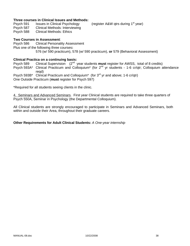### **Three courses in Clinical Issues and Methods:**

Psych 591 Issues in Clinical Psychology (register A&W qtrs during 1<sup>st</sup> year)

- Psych 587 Clinical Methods: Interviewing
- Psych 588 Clinical Methods: Ethics

## **Two Courses in Assessment**:

Psych 586 Clinical Personality Assessment Plus one of the following three courses**:**  576 (w/ 590 practicum), 578 (w/ 590 practicum), **or** 579 (Behavioral Assessment)

## **Clinical Practica on a continuing basis:**

Psych 589 Clinical Supervision (2nd year students **must** register for AWSS, total of 8 credits) Psych 593A\* Clinical Practicum and Colloquium\* (for 2<sup>nd</sup> yr students - 1-6 cr/qtr; Colloquium attendance reqd)

Psych 593B\* Clinical Practicum and Colloquium\* (for 3<sup>rd</sup> yr and above; 1-6 cr/qtr) One Outside Practicum (**must** register for Psych 597)

\*Required for all students seeing clients in the clinic.

4. Seminars and Advanced Seminars. First year Clinical students are required to take three quarters of Psych 550A, Seminar in Psychology (the Departmental Colloquium).

All Clinical students are strongly encouraged to participate in Seminars and Advanced Seminars, both within and outside their Area, throughout their graduate careers.

## **Other Requirements for Adult Clinical Students:** *A One-year internship*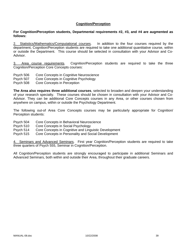## **Cognition/Perception**

#### **For Cognition/Perception students, Departmental requirements #2, #3, and #4 are augmented as follows:**

2. Statistics/Mathematics/Computational courses. In addition to the four courses required by the department, Cognition/Perception students are required to take one additional quantitative course, within or outside the Department. This course should be selected in consultation with your Advisor and Co-Advisor.

3. Area course requirements. Cognition/Perception students are required to take the three Cognition/Perception Core Concepts courses:

- Psych 506 Core Concepts in Cognitive Neuroscience
- Psych 507 Core Concepts in Cognitive Psychology
- Psych 508 Core Concepts in Perception

**The Area also requires three additional courses**, selected to broaden and deepen your understanding of your research specialty. These courses should be chosen in consultation with your Advisor and Co-Advisor. They can be additional Core Concepts courses in any Area, or other courses chosen from anywhere on campus, within or outside the Psychology Department.

The following out-of Area Core Concepts courses may be particularly appropriate for Cognition/ Perception students:

- Psych 504 Core Concepts in Behavioral Neuroscience
- Psych 510 Core Concepts in Social Psychology
- Psych 514 Core Concepts in Cognitive and Linguistic Development
- Psych 515 Core Concepts in Personality and Social Development

4. Seminars and Advanced Seminars. First year Cognition/Perception students are required to take three quarters of Psych 555, Seminar in Cognition/Perception.

All Cognition/Perception students are strongly encouraged to participate in additional Seminars and Advanced Seminars, both within and outside their Area, throughout their graduate careers.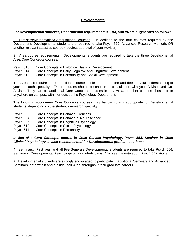## **Developmental**

### **For Developmental students, Departmental requirements #2, #3, and #4 are augmented as follows:**

2. Statistics/Mathematics/Çomputational courses. In addition to the four courses required by the Department, Developmental students are required to take Psych 529, Advanced Research Methods OR another relevant statistics course (requires approval of your Advisor).

3. Area course requirements. Developmental students are required to take the three Developmental Area Core Concepts courses:

- Psych 513 Core Concepts in Biological Basis of Development
- Psych 514 Core Concepts in Early Cognitive and Linguistic Development

Psych 515 Core Concepts in Personality and Social Development

The Area also requires three additional courses, selected to broaden and deepen your understanding of your research specialty. These courses should be chosen in consultation with your Advisor and Co-Advisor. They can be additional Core Concepts courses in any Area, or other courses chosen from anywhere on campus, within or outside the Psychology Department.

The following out-of-Area Core Concepts courses may be particularly appropriate for Developmental students, depending on the student's research specialty:

- Psych 503 Core Concepts in Behavior Genetics
- Psych 504 Core Concepts in Behavioral Neuroscience
- Psych 507 Core Concepts in Cognitive Psychology
- Psych 510 Core Concepts in Social Psychology
- Psych 511 Core Concepts in Personality

## *In lieu of a Core Concepts course in Child Clinical Psychology, Psych 553, Seminar in Child Clinical Psychology, is also recommended for Developmental graduate students.*

4. Seminars. First year and all Pre-Generals Developmental students are required to take Psych 556, Seminar in Developmental Psychology on a quarterly basis. *Also see the note about Psych 553 above.* 

All Developmental students are strongly encouraged to participate in additional Seminars and Advanced Seminars, both within and outside their Area, throughout their graduate careers.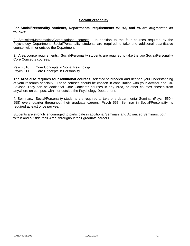#### **Social/Personality**

#### **For Social/Personality students, Departmental requirements #2, #3, and #4 are augmented as follows:**

2. Statistics/Mathematics/Çomputational courses. In addition to the four courses required by the Psychology Department, Social/Personality students are required to take one additional quantitative course, within or outside the Department.

3. Area course requirements. Social/Personality students are required to take the two Social/Personality Core Concepts courses:

Psych 510 Core Concepts in Social Psychology

Psych 511 Core Concepts in Personality

**The Area also requires four additional courses,** selected to broaden and deepen your understanding of your research specialty. These courses should be chosen in consultation with your Advisor and Co-Advisor. They can be additional Core Concepts courses in any Area, or other courses chosen from anywhere on campus, within or outside the Psychology Department.

4. Seminars. Social/Personality students are required to take one departmental Seminar (Psych 550 - 558) every quarter throughout their graduate careers. Psych 557, Seminar in Social/Personality, is required at least once per year.

Students are strongly encouraged to participate in additional Seminars and Advanced Seminars, both within and outside their Area, throughout their graduate careers.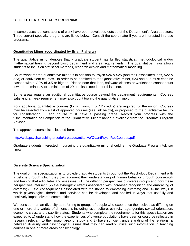# **C. III. OTHER SPECIALTY PROGRAMS**

In some cases, concentrations of work have been developed outside of the Department's Area structure. Three current specialty programs are listed below. Consult the coordinator if you are interested in these programs.

## **Quantitative Minor (coordinated by Brian Flaherty)**

The quantitative minor denotes that a graduate student has fulfilled statistical, methodological and/or mathematical training beyond basic department and area requirements. The quantitative minor allows students to focus on statistical methods, research design and mathematical modeling.

Coursework for the quantitative minor is in addition to Psych 524 & 525 (and their associated labs, 522 & 523) or equivalent courses. In order to be admitted to the Quantitative minor, 524 and 525 must each be passed with a GPA of 3.5 or higher. Please note that labs, software classes or workshops cannot count toward the minor. A total minimum of 20 credits is needed for this minor.

Some areas require an additional quantitative course beyond the department requirements. Courses satisfying an area requirement may also count toward the quantitative minor.

Four additional quantitative courses (for a minimum of 12 credits) are required for the minor. Courses may be selected from a list of approved courses (see link below), or proposed to the quantitative faculty for consideration. Each course must have a passing grade. Record your progress with the "Documentation of Completion of the Quantitative Minor" handout available from the Graduate Program Advisor.

The approved course list is located here:

http://web.psych.washington.edu/areas/quantitative/QuantPsychRecCourses.pdf

Graduate students interested in pursuing the quantitative minor should let the Graduate Program Advisor know.

#### **Diversity Science Specialization**

The goal of this specialization is to provide graduate students throughout the Psychology Department with a vehicle through which they can augment their understanding of human behavior through coursework and training that articulates and assesses: (1) the differing perspectives of diverse groups and how these perspectives intersect; (2) the synergistic effects associated with increased recognition and embracing of diversity; (3) the consequences associated with resistance to embracing diversity; and (4) the ways in which psychological theories and services can be developed and applied in ways that usefully and positively impact diverse communities.

We consider human diversity as referring to groups of people who experience themselves as differing on one or more of a variety of dimensions including race, culture, ethnicity, age, gender, sexual orientation, economic class, and disability status. Students who complete the requirements for this specialization are expected to 1) understand how the experiences of diverse populations have been or could be reflected in research relevant to their major area of study and 2) have sufficient understanding of the relationship between diversity and psychological issues that they can readily utilize such information in teaching courses in one or more areas of psychology.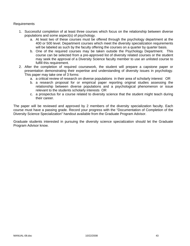## Requirements

- 1. Successful completion of at least three courses which focus on the relationship between diverse populations and some aspect(s) of psychology.
	- a. At least two of these courses must be offered through the psychology department at the 400 or 500 level. Department courses which meet the diversity specialization requirements will be labeled as such by the faculty offering the courses on a quarter by quarter basis.
	- b. One of the required courses may be taken outside the Psychology Department. This course can be selected from a pre-approved list of diversity related courses or the student may seek the approval of a Diversity Science faculty member to use an unlisted course to fulfill this requirement.
- 2. After the completion of required coursework, the student will prepare a capstone paper or presentation demonstrating their expertise and understanding of diversity issues in psychology. This paper may take one of 3 forms:
	- a. a critical review of research on diverse populations in their area of scholarly interest OR
	- b. a research proposal for or empirical paper reporting original studies assessing the relationship between diverse populations and a psychological phenomenon or issue relevant to the students scholarly interests OR
	- c. a prospectus for a course related to diversity science that the student might teach during their career.

The paper will be reviewed and approved by 2 members of the diversity specialization faculty. Each course must have a passing grade. Record your progress with the "Documentation of Completion of the Diversity Science Specialization" handout available from the Graduate Program Advisor.

Graduate students interested in pursuing the diversity science specialization should let the Graduate Program Advisor know.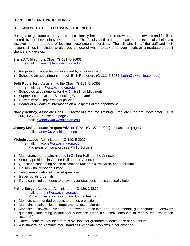## **D. POLICIES AND PROCEDURES**

# **D. I. WHOM TO SEE FOR WHAT YOU NEED**

During your graduate career you will occasionally have the need to draw upon the services and facilities offered by the Psychology Department. The faculty and other graduate students usually help you discover the ins and outs of locating these potential services. The following list of the staff and their responsibilities is included to give you an idea of whom to talk to as your needs as a graduate student change and develop.

## **Sheri J.Y. Mizumori**, Chair (G-121, 5-9660)

e-mail: mizumori@u.washington.edu

- ♦ For problems not solvable, or solved by anyone else.
- ♦ Schedule an appointment through Beth Rutherford (G-121, 5-8035, bethr@u.washington.edu)

**Beth Rutherford**, Assistant to the Chair (G-121, 5-8035)

- e-mail: bethr@u.washington.edu
- ♦ Schedules appointments for the Chair (Sheri Mizumori)
- ♦ Supervises the Course Scheduling Coordinator
- ♦ University and Departmental policies
- ♦ Bearer of a wealth of information on all aspects of the department

**Nancy Kenney**, Associate Chair & Director of Graduate Training, Graduate Program Coordinator (GPC) (G-306, 3-2563) Please see page 7.

e-mail: nkenney@u.washington.edu

**Jeanny Mai**, Graduate Program Advisor, GPA (G-127, 3-9329) Please see page 7. e-mail: jeanny@u.washington.edu

**Michele Jacobs**, Administrator (G-119, 5-2027)

 e-mail: mjacobs@u.washington.edu (If Michele is on vacation, see Phillip Burger)

- ♦ Maintenance or repairs needed in Guthrie Hall and the Annexes
- ♦ Security problems in Guthrie Hall and the Annexes
- ♦ Questions concerning space allocations (academic, research, and operations)
- ♦ Liaison with Personnel Office
- ♦ Telecommunications/Ethernet questions
- ♦ Issues building permits
- ♦ If you can't find someone to answer your questions, she can usually help

#### **Phillip Burger**, Associate Administrator (G-129, 3-8879)

e-mail: pburger@u.washington.edu

- (If Phil is on vacation, see Susan Carpenter-Brandt)
- ♦ Monitors state funded budgets and does projections
- ♦ Maintains detailed files on departmental expenditures
- ♦ Monitors Fellowship Awards, Endowment accounts and departmental gift accounts. Answers questions concerning institutional allowance funds (i.e., small amounts of money for dissertation research)
- ♦ Travel some money for airfare is available for graduate students once per biennium
- Assistant to the Administrator: handles immediate problems in her absence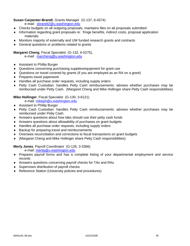# **Susan Carpenter-Brandt**, Grants Manager (G-137, 6-4574)

e-mail: sbrandt2@u.washington.edu

- ♦ Checks budgets on all outgoing proposals, maintains files on all proposals submitted
- ♦ Information regarding grant proposals re: fringe benefits, indirect costs, proposal application materials
- ♦ Monitors majority of externally and UW funded research grants and contracts
- ♦ General questions or problems related to grants

## **Margaret Cheng**, Fiscal Specialist (G-132, 6-5275),

e-mail: marcheng@u.washington.edu

- ♦ Assistant to Phillip Burger
- ♦ Questions concerning purchasing supplies/equipment for grant use
- ♦ Questions on travel covered by grants (if you are employed as an RA on a grant)
- ♦ Prepares travel paperwork
- ♦ Handles all purchase order requests, including supply orders
- ♦ Petty Cash Custodian: handles Petty Cash reimbursements: advises whether purchases may be reimbursed under Petty Cash. (Margaret Cheng and Mike Hollinger share Petty Cash responsibilities)

## **Mike Hollinger**, Fiscal Specialist (G-130, 3-6121)

e-mail: mikeph@u.washington.edu

- ♦ Assistant to Phillip Burger
- ♦ Petty Cash Custodian: handles Petty Cash reimbursements: advises whether purchases may be reimbursed under Petty Cash.
- ♦ Answers questions about how labs should use their petty cash funds
- ♦ Answers questions about allowability of purchases on grant budgets
- ♦ Handles all purchase order requests, including supply orders
- ♦ Backup for preparing travel and reimbursements
- ♦ Oversees reconciliation and corrections to fiscal transactions on grant budgets
- ♦ (Margaret Cheng and Mike Hollinger share Petty Cash responsibilities)

## **Merly Jones**, Payroll Coordinator (G-126, 3-3366)

e-mail: merlej@u.washington.edu

- ♦ Prepares payroll forms and has a complete listing of your departmental employment and service records
- ♦ Answers questions concerning payroll checks for TAs and RAs
- ♦ Supervises distribution of payroll checks
- ♦ Reference Station (University policies and procedures)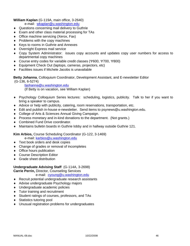## **William Kaplan** (G-119A, main office, 3-2640)

e-mail: wkaplan@u.washington.edu

- ♦ Questions concerning mail delivery to Guthrie
- ♦ Exam and other class material processing for TAs
- ♦ Office machine servicing (Xerox, Fax)
- ♦ Problems with the copy machines
- ♦ Keys to rooms in Guthrie and Annexes
- ♦ Overnight Express mail service
- ♦ Copy System Administrator: issues copy accounts and updates copy user numbers for access to departmental copy machines
- ♦ Course entry codes for variable credit classes (Ψ600, Ψ700, Ψ800)
- ♦ Equipment Check Out (laptops, cameras, projectors, etc)
- ♦ Facilities issues if Michele Jacobs is unavailable

**Betty Johanna**, Colloquium Coordinator, Development Assistant, and E-newsletter Editor

(G-136, 6-5274)

bjohanna@u.washington.edu

(If Betty is on vacation, see William Kaplan)

- ♦ Psychology Colloquium Series lectures: scheduling, logistics, publicity. Talk to her if you want to bring a speaker to campus.
- ♦ Advice or help with publicity, catering, room reservations, transportation, etc.
- ♦ Edit and publish in-house e-newsletter. Send items to psynews@u.washington.edu.
- ♦ College of Arts & Sciences Annual Giving Campaign.
- ♦ Process monetary and in-kind donations to the department. (Not grants.)
- ♦ Combined Fund Drive coordinator.
- ♦ Maintains bulletin boards in Guthrie lobby and in hallway outside Guthrie 121.

**Kim Arbios,** Course Scheduling Coordinator (G-122, 3-1469)

e-mail: karbios@u.washington.edu

- ♦ Text book orders and desk copies
- ♦ Change of grades or removal of incompletes
- ♦ Office hours publication
- ♦ Course Description Editor
- ♦ Grade sheet distribution

#### **Undergraduate Advising Staff** (G-114A, 3-2698)

**Carrie Perrin,** Director, Counseling Services

e-mail: cyoung@u.washington.edu

- ♦ Recruit potential undergraduate research assistants
- ♦ Advise undergraduate Psychology majors
- ♦ Undergraduate academic policies
- ♦ Tutor training and recruitment
- ♦ Student ratings of courses, professors, and TAs
- ♦ Statistics tutoring pool
- ♦ Unusual registration problems for undergraduates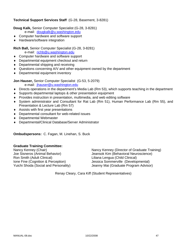## **Technical Support Services Staff** (G-28, Basement, 3-8281)

**Doug Kalk,** Senior Computer Specialist (G-28, 3-8281)

e-mail: dougkalk@u.washington.edu

- ♦ Computer hardware and software support
- ♦ Hardware/software integration

## **Rich Ball,** Senior Computer Specialist (G-28, 3-8281)

e-mail: richb@u.washington.edu

- ♦ Computer hardware and software support
- ♦ Departmental equipment checkout and return
- ♦ Departmental shipping and receiving
- ♦ Questions concerning A/V and other equipment owned by the department
- ♦ Departmental equipment inventory

**Jon Hauser,** Senior Computer Specialist (G-53, 5-2079)

e-mail: jhauser@u.washington.edu

- ♦ Directs operations in the department's Media Lab (Rm 53), which supports teaching in the department
- ♦ Supports departmental laptops & other presentation equipment
- ♦ Provides instruction in presentation, multimedia, and web editing software
- ♦ System administrator and Consultant for Rat Lab (Rm 51), Human Performance Lab (Rm 55), and Presentation & Lecture Lab (Rm 57)
- ♦ Assists with first year presentations
- ♦ Departmental consultant for web-related issues
- ♦ Departmental Webmaster
- ♦ Departmental/Clinical Database/Server Administrator

**Ombudspersons:** C. Fagan, M. Linehan, S. Buck

## **Graduate Training Committee:**

Ron Smith (Adult Clinical) Liliana Lengua (Child Clinical)

Nancy Kenney (Chair)<br>
Joe Sisneros (Animal Behavior) Mancy Kenney (Director of Graduate Training)<br>
Jeansok Kim (Behavioral Neuroscience) Jeansok Kim (Behavioral Neuroscience) Ione Fine (Cognition & Perception) Jessica Sommerville (Developmental) Yuichi Shoda (Social and Personality) Jeanny Mai (Graduate Program Advisor)

Renay Cleary, Cara Kiff (Student Representatives)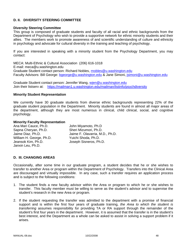## **D. II. DIVERSITY STEERING COMMITTEE**

#### **Diversity Steering Committee**

This group is composed of graduate students and faculty of all racial and ethnic backgrounds from the Department of Psychology who wish to provide a supportive network for ethnic minority students and their allies. The members work to promote awareness of and scientific understanding of culture and ethnicity in psychology and advocate for cultural diversity in the training and teaching of psychology.

If you are interested in speaking with a minority student from the Psychology Department, you may contact:

MECA: Multi-Ethnic & Cultural Association (206) 616-1018 E-mail: meca@u.washington.edu Graduate Student contact person: Richard Nobles, rnobles@u.washington.edu Faculty Advisors: Bill George: bgeorge@u.washington.edu & Jane Simoni, jsimoni@u.washington.edu

Graduate Student contact person: Jennifer Wang, wjen@u.washington.edu Join their listserv at: https://mailman1.u.washington.edu/mailman/listinfo/psychdiversity

#### **Minority Student Representation**

We currently have 30 graduate students from diverse ethnic backgrounds representing 22% of the graduate student population in the Department. Minority students are found in almost all major areas of the department, although they are most numerous in clinical, child clinical, social, and cognitive psychology.

#### **Minority Faculty Representation**

| Ana Mari Cauce, Ph.D.    | John Miyamoto, Ph.D             |
|--------------------------|---------------------------------|
| Sapna Cheryan, Ph.D.     | Sheri Mizumori, Ph.D.           |
| Jaime Diaz, Ph.D.        | Jaime F. Olavarria, M.D., Ph.D. |
| William H. George, Ph.D. | Yuichi Shoda, Ph.D.             |
| Jeansok Kim, Ph.D.       | Joseph Sisneros, Ph.D.          |
| Janxin Leu, Ph.D.        |                                 |

## **D. III. CHANGING AREAS**

Occasionally, after some time in our graduate program, a student decides that he or she wishes to transfer to another Area or program within the Department of Psychology. Transfers into the Clinical Area are discouraged and virtually impossible. In any case, such a transfer requires an application process and is subject to the following conditions:

- 1. The student finds a new faculty advisor within the Area or program to which he or she wishes to transfer. This faculty member must be willing to serve as the student's advisor and to supervise the student's research in the new Area or program.
- 2. If the student requesting the transfer was admitted to the department with a promise of financial support and is within the first four years of graduate training, *the Area to which the student is transferring* assumes responsibility for providing TA or RA support through the remainder of the student's first four years in the department. However, it is assumed that the transfer is in the student's best interest, and the Department as a whole can be asked to assist in solving a support problem if it arises.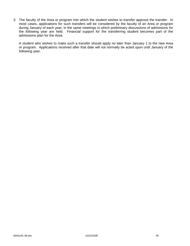3. The faculty of the Area or program into which the student wishes to transfer approve the transfer. In most cases, applications for such transfers will be considered by the faculty of an Area or program during January of each year, in the same meetings in which preliminary discussions of admissions for the following year are held. Financial support for the transferring student becomes part of the admissions plan for the Area.

 A student who wishes to make such a transfer should apply no later than January 1 to the new Area or program. Applications received after that date will not normally be acted upon until January of the following year.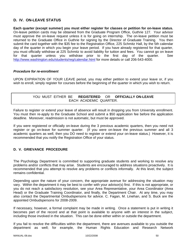# **D. IV. ON-LEAVE STATUS**

**Each quarter (except summer) you must either register for classes or petition for on-leave status.** On-leave petition cards may be obtained from the Graduate Program Office, Guthrie 127. Your advisor must approve the on-leave request unless it is for going on internship. The on-leave petition must be returned to the Graduate Office in Guthrie for signing by the Director of Graduate Training. You then submit the card together with the \$35 fee to the Registration Office, 225 Schmitz Hall, by the 5th calendar day of the quarter in which you begin your leave period. If you have already registered for that quarter, you must officially withdraw at 225 Schmitz to avoid liability for tuition and fees. You cannot go on leave for that quarter unless you withdraw prior to the first day of the quarter. See http://www.washington.edu/students/reg/calendar.html for more details or call 206-543-4000.

#### *Procedure for re-enrollment*

UPON EXPIRATION OF YOUR LEAVE period, you may either petition to extend your leave or, if you wish to enroll, simply register for courses before the beginning of the quarter in which you wish to return.

# YOU MUST EITHER BE **REGISTERED** OR **OFFICIALLY ON-LEAVE** EACH ACADEMIC QUARTER.

Failure to register or extend your leave of absence will result in dropping you from University enrollment. You must then re-apply to the Graduate School and submit a \$50 application fee before the application deadline. Moreover, readmission is not automatic, but must be approved.

If you were registered or officially on-leave during the 3 previous academic quarters, then you need not register or go on-leave for summer quarter. (If you were on-leave the previous summer and all 3 academic quarters as well, then you DO need to register or extend your on-leave status.) However, it is recommended that you notify the Registration Office of your status.

# **D. V. GRIEVANCE PROCEDURE**

The Psychology Department is committed to supporting graduate students and working to resolve any problems and/or conflicts that may arise. Students are encouraged to address situations proactively. It is recommended that you attempt to resolve any problems or conflicts informally. At this level, the subject remains confidential.

Depending upon the nature of your concern, the appropriate avenue for addressing the situation may vary. Within the department it may be best to confer with your advisor(s) first. If this is not appropriate, or you do not reach a satisfactory resolution, see your Area Representative, your Area Coordinator (Area Head) or the Graduate Training Coordinator, and finally, the Department Chair. At any time, you may also contact the Departmental Ombudspersons for advice. C. Fagan, M. Linehan, and S. Buck are the appointed Ombudspersons for 2008-2009.

If necessary, however, a formal complaint may be made in writing. Once a statement is put in writing it becomes part of the record and at that point is available to anyone with an interest in the subject, including those involved in the situation. This can be done either within or outside the department.

If you fail to resolve the difficulties within the department, there are avenues available to you outside the department as well; for example, the Human Rights Education and Research Network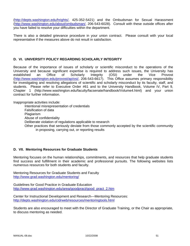(http://depts.washington.edu/hrights/, 425-352-5421) and the Ombudsman for Sexual Harassment (http://www.washington.edu/about/ombudsman/, 206-543-6028). Consult with these outside offices after you have failed to resolve your difficulties within the department.

There is also a detailed grievance procedure in your union contract. Please consult with your local representative if the measures above do not result in satisfaction.

## **D. VI. UNIVERSITY POLICY REGARDING SCHOLARLY INTEGRITY**

Because of the importance of issues of scholarly or scientific misconduct to the operations of the University and because significant expertise is required to address such issues, the University has established an Office of Scholarly Integrity (OSI) under the Vice Provost (http://www.washington.edu/provost/ap/osi/, 206-543-6617). This Office assumes primary responsibility for investigating and resolving allegations of scientific and scholarly misconduct by its faculty, staff, and students. Please refer to Executive Order #61 and to the University Handbook, Volume IV, Part 9, Chapter 1 (http://www.washington.edu/faculty/facsenate/handbook/Volume4.html) and your union contract for further information.

Inappropriate activities include:

Intentional misrepresentation of credentials Falsification of data Plagiarism Abuse of confidentiality Deliberate violation of regulations applicable to research Other practices that seriously deviate from those commonly accepted by the scientific community in proposing, carrying out, or reporting results

## **D. VII. Mentoring Resources for Graduate Students**

Mentoring focuses on the human relationships, commitments, and resources that help graduate students find success and fulfillment in their academic and professional pursuits. The following websites lists numerous resources for both students and faculty.

Mentoring Resources for Graduate Students and Faculty http://www.grad.washington.edu/mentoring/

Guidelines for Good Practice in Graduate Education http://www.grad.washington.edu/area/goodpract/good\_pract\_2.htm

Center for Instructional Development and Research—Mentoring Resources: http://depts.washington.edu/cidrweb/resources/mentoringtools.html

Students are also encouraged to meet with the Director of Graduate Training, or the Chair as appropriate, to discuss mentoring as needed.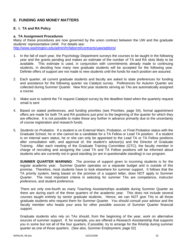# **E. FUNDING AND MONEY MATTERS**

## **E. I. TA and RA Policy**

## **a. TA Assignment Procedures**

Many of these procedures are now governed by the union contract between the UW and the graduate students' representative UAW. For details see: http://www.washington.edu/admin/hr/laborrel/contracts/uaw/addons/

- 1. In the fall of each year, the Psychology Department surveys the courses to be taught in the following year and the grants pending and makes an estimate of the number of TA and RA slots likely to be available. This estimate is used, in conjunction with commitments already made to continuing students, in deciding how many new graduate students will be accepted for the following year. Definite offers of support are not made to new students until the funds for each position are assured.
- 2. Each quarter, all current graduate students and faculty are asked to state preferences for funding and assistance for the following quarter via Catalyst survey. Preferences for Autumn Quarter are collected during Summer Quarter. New first year students serving as TAs are automatically assigned a course.
- 3. Make sure to submit the TA request Catalyst survey by the deadline listed when the quarterly request email is sent
- 4. Based on stated preferences, and funding priorities (see Priorities, page 54), formal appointment offers are made for both TA and RA positions just prior to the beginning of the quarter for which they are effective. It is not possible to make these any further in advance primarily due to the uncertainty of course registration and research funds.
- 5. *Students on Probation.* If a student is on External Warn, Probation, or Final Probation status with the Graduate School, he or she cannot be a candidate for a TA Fellow or Lead TA position. If a student is on internal warn status, he or she can only be appointed to the Lead TA or TA Fellow positions after consultation with, and approval of, the student's advisor(s) and the Director of Graduate Training. After each meeting of the Graduate Training Committee (GTC), the faculty member in charge of recruiting and assigning the Lead TA and TA Fellow positions will be informed about students who are currently not in good standing (or are in questionable standing) in our program.

**SUMMER QUARTER WARNING**: The promise of support given to incoming students is for the regular academic year. Summer Quarter operates on a separate budget and is outside of this promise. Therefore, most students have to look elsewhere for summer support. It follows that the TA priority system, being based on the promise of a support letter, does NOT apply to Summer Quarter. The most important criteria in selecting for summer TAs are competence, instructor preference, and student preference.

There are only one-fourth as many Teaching Assistantships available during Summer Quarter as there are during each of the three quarters of the academic year. This does not include several courses taught entirely by senior graduate students. Hence, we can NOT give TAs to all those graduate students who request them for Summer Quarter. You should consult your advisor and the faculty member who heads your area for other possible sources of Summer Quarter financial support.

Graduate students who rely on TAs should, from the beginning of the year, work on alternative sources of summer support. If, for example, you are offered a Research Assistantship that supports you in some but not all of the four quarters, if possible, try to arrange for the RAship during summer quarter as one of those quarters. (See also, Summer Employment, page 52)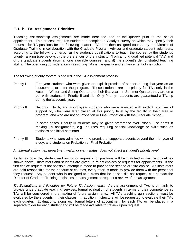# **E. I. b. TA Assignment Priorities**

Teaching Assistantship assignments are made near the end of the quarter prior to the actual appointment. This process requires students to complete a Catalyst survey on which they specify their requests for TA positions for the following quarter. TAs are then assigned courses by the Director of Graduate Training in collaboration with the Graduate Program Advisor and graduate student volunteers, according to the following criteria: a) the student's qualifications to teach the course, b) the student's priority ranking (see below), c) the preferences of the instructor (from among qualified potential TAs) and of the graduate students (from among available courses), and d) the student's demonstrated teaching ability. The overriding consideration in assigning TAs is the quality and enhancement of instruction.

The following priority system is applied in the TA assignment process:

- Priority I First-year students who were given an explicit promise of support during that year as an inducement to enter the program. These students are top priority for TAs only in the Autumn, Winter, and Spring Quarters of their first year. In Summer Quarter, they are on a par with students in Priority II and III. Only Priority I students are guaranteed a TAship during the academic year.
- Priority II Second-, Third-, and Fourth-year students who were admitted with explicit promises of support or, who were later placed at this priority level by the faculty in their area or program, and who are not on Probation or Final Probation with the Graduate School.

In some cases, Priority III students may be given preference over Priority II students in making TA assignments, e.g., courses requiring special knowledge or skills such as statistics or clinical seminars.

Priority III Students who were admitted with no promise of support, students beyond their 4th year of study, and students on Probation or Final Probation.

*An internal action, i.e., department watch or warn status, does not affect a student's priority level.* 

As far as possible, student and instructor requests for positions will be matched within the guidelines shown above. Instructors and students are given up to six choices of requests for appointments. If the first choice request is not possible, attempt is made to provide the second or third choice. As instructors are held responsible for the conduct of courses, every effort is made to provide them with the personnel they request. Any student who is assigned to a class that he or she did not request can contact the Director of Graduate Training to discuss the assignment or request a review of the assignment.

*TA Evaluations and Priorities for Future TA Assignments*: As the assignment of TAs is primarily to provide undergraduate teaching services, formal evaluation of students in terms of their competence as TAs will be considered in the making of future assignments. All TAs teaching quiz sections **must** be evaluated by the students in their classes. In addition, instructors will be requested to evaluate their TAs each quarter. Evaluations, along with formal letters of appointment for each TA, will be placed in a separate folder for each student and will be made available for review upon request.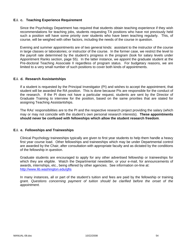## **E.I. c. Teaching Experience Requirement**

Since the Psychology Department has required that students obtain teaching experience if they wish recommendations for teaching jobs, students requesting TA positions who have not previously held such a position will have some priority over students who have been teaching regularly. This, of course, will be weighed with other factors, including the needs of the course in question.

Evening and summer appointments are of two general kinds: assistant to the instructor of the course in large classes or laboratories; or instructor of the course. In the former case, we restrict the level to the payroll rate determined by the student's progress in the program (look for salary levels under Appointment Ranks section, page 55). In the latter instance, we appoint the graduate student at the Pre-doctoral Teaching Associate II regardless of program status. For budgetary reasons, we are limited to a very small number of such positions to cover both kinds of appointments.

#### **E.I. d. Research Assistantships**

If a student is requested by the Principal Investigator (PI) and wishes to accept the appointment, that student will be awarded the RA position. This is done because PIs are responsible for the conduct of the research. If the PI does not have a particular request, students are sent by the Director of Graduate Training to interview for the position, based on the same priorities that are stated for assigning Teaching Assistantships.

The RAs' responsibilities are to the PI and the respective research project providing the salary (which may or may not coincide with the student's own personal research interests). **These appointments should never be confused with fellowships which allow the student research freedom**.

#### **E.I. e. Fellowships and Traineeships**

Clinical Psychology traineeships typically are given to first year students to help them handle a heavy first year course load. Other fellowships and traineeships which may be under Departmental control are awarded by the Chair, after consultation with appropriate faculty and as dictated by the conditions of the fellowship in question.

Graduate students are encouraged to apply for any other advertised fellowship or traineeships for which they are eligible. Watch the Departmental newsletter, or your e-mail, for announcements of awards, internships, etc., being offered by other agencies. See information on-line at: http://www.lib.washington.edu/gfis

In many instances, all or part of the student's tuition and fees are paid by the fellowship or training grant. *Questions concerning payment of tuition should be clarified before the onset of the appointment.*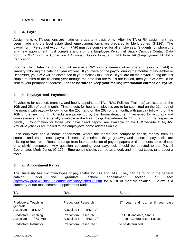# **E. II. PAYROLL PROCEDURES**

## **E. II. a. Payroll**

Assignments to TA positions are made on a quarterly basis only. After the TA or RA assignment has been made and the level established, employment forms are prepared by Merly Jones (G-126). The payroll form (Personnel Action Form, PAF) must be completed for all employees. Students for whom this is a new appointment must complete and sign the Employee Personnel Data / Campus Contact Data Form, a W-4 form, a Conviction / Criminal History form, and INS form I-9 (Employment Eligibility Verification).

**Income Tax Information.** You will receive a W-2 form (statement of income and taxes withheld) in January following the calendar year worked. If you were on the payroll during the months of November or December, your W-2 will be distributed to your mailbox in Guthrie. If you are off the payroll during the last couple months of the calendar year through the time that the W-2's are issued, then your W-2 would be sent to your permanent address. **Please be sure to keep your mailing information current via MyUW.**

## **E. II. b. Paydays and Paychecks**

Paychecks for salaried, monthly, and hourly appointees (TAs, RAs, Fellows, Trainees) are issued on the 10th and 25th of each month. Time sheets for hourly employees are to be submitted on the 11th day of the month, with payday following on the 25th; and on the 26th of the month, with payday following on the 10th of the next month. Checks are picked up by the "home department," reviewed for accuracy and completeness, and are usually available in the Psychology Department by 11:00 a.m. on the respective payday. Confirmation for those who have direct deposit are available on the UW website at MyUW. Actual paychecks are mailed to the employee's home address on file.

Each employee has a "home department" where the individual's composite check, money from all sources and issued each payroll, is sent. Sometimes things go awry and expected paychecks are missing or incorrect. Reasons range from late submission of payroll papers or time sheets, to balkiness of a sickly computer. Any question concerning your paycheck should be directed to the Payroll Coordinator, Merly Jones (G-126). Emergency checks can be arranged, and in most cases take about a week.

#### **E. II. c. Appointment Ranks**

The University has two main types of pay scales for TAs and RAs. They can be found in the general catalog under the graduate school appointment section or see: http://www.grad.washington.edu/fellow/salaryschedule.htm for a list of monthly salaries. Below is a summary of our most common appointment ranks.

| <b>TAs</b>                                              | <b>RAs</b>                                       | <b>Status</b>                                         |
|---------------------------------------------------------|--------------------------------------------------|-------------------------------------------------------|
| <b>Predoctoral Teaching</b><br>generals                 | Predoctoral Research                             | year and up, until you pass                           |
| Associate I<br>(PDTAI)                                  | Associate I<br>(PDRAI)                           |                                                       |
| <b>Predoctoral Teaching</b><br>Associate II<br>(PDTAII) | Predoctoral Research<br>Associate II<br>(PDRAII) | Ph.C. (Candidate) Status<br>i.e., General Exam Passed |
| Predoctoral Instructor                                  | Predoctoral Researcher                           | to be determined                                      |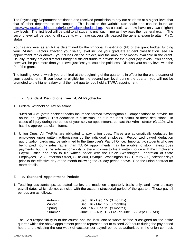The Psychology Department petitioned and received permission to pay our students at a higher level that that of other departments on campus. This is called the variable rate scale and can be found at: http://www.grad.washington.edu/fellow/salaryschedule.htm. As a result, we now have only two (higher) pay levels. The first level will be paid to all students until such time as they pass their general exam. The second level will be paid to all students who have successfully passed the general exam to attain Ph.C. status.

Your salary level as an RA is determined by the Principal Investigator (PI) of the grant budget funding your RAship. Factors affecting your salary level include your graduate student classification (see TA appointment ranks above), your duties on the project, and the amount of money available in the grant. Usually, faculty project directors budget sufficient funds to provide for the higher pay levels. You cannot, however, be paid more than your level justifies; you could be paid less. Discuss your salary level with the PI of the grant.

The funding level at which you are hired at the beginning of the quarter is in effect for the entire quarter of your appointment. If you become eligible for the second pay level during the quarter, you will not be promoted to the higher salary until the next quarter you hold a TA/RA appointment.

# **E. II. d. Standard Deductions from TA/RA Paychecks**

- 1. Federal Withholding Tax on salary
- 2. "Medical Aid" (state accident/health insurance termed "Workingman's Compensation" to provide for on-the-job injuries.) This deduction is quite small so it is the least painful of these deductions. In cases of injury during the period of your service appointment, contact the Administrator (G-119), who has the appropriate claim forms.
- 3. Union Dues: All TA/RAs are obligated to pay union dues. These are automatically deducted for employees upon written authorization by the individual employee. Recognized payroll deduction authorization cards may be submitted to the Employer's Payroll Office. Importantly, students who are being paid hourly rates rather than TA/RA appointments may be eligible to stop making dues payments, but it is the sole responsibility of the employee to file a written notice with the Employer's Payroll Office and also to file written notice with the Union (Washington Federation of State Employees, 1212 Jefferson Street, Suite 300, Olympia, Washington 98501) thirty (30) calendar days prior to the effective day of the month following the 30-day period above. See the union contract for more details.

#### **E. II. e. Standard Appointment Periods**

1. Teaching assistantships, as stated earlier, are made on a quarterly basis only, and have arbitrary payroll dates which do not coincide with the actual instructional period of the quarter. These payroll periods are as follows:

| Autumn | Sept. 16 - Dec. 15 (3 months)                      |
|--------|----------------------------------------------------|
| Winter | Dec. $16$ - Mar. $15$ (3 months)                   |
| Spring | Mar. $16$ - June 15 $(3$ months)                   |
| Summer | June 16 - Aug. 15 (TAs) or June 16 - Sept 15 (RAs) |

The TA's responsibility is to the course and the instructor to whom he/she is assigned for the entire quarter which the above appointment periods represent, not to exceed 220 hours during the pay period hours and excluding the one week of vacation per payroll period as authorized in the union contract.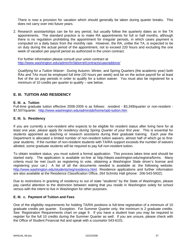There is now a provision for vacation which should generally be taken during quarter breaks. This does not carry over into future years.

2. Research assistantships can be for any period, but usually follow the quarterly dates as in the TA appointments. The standard practice is to make RA appointments for full or half months, although there is no regulation prohibiting the appointment for irregular periods, in which cases payment is computed on a daily basis from the monthly rate. However, the RA, unlike the TA, is expected to be on duty during the actual period of the appointment, not to exceed 220 hours and excluding the one week of vacation per payroll period as authorized in the union contract.

For further information please consult your union contract at http://www.washington.edu/admin/hr/laborrel/contracts/uaw/addons/

*Qualifying for a Tuition Waiver*: During Autumn, Winter, and Spring Quarters (the academic year) both RAs and TAs must be employed full time (20 hours per week) and be on the active payroll for at least five of the six pay periods in order to qualify for a tuition waiver. You must also be registered for a minimum of 10 credits per quarter to qualify – see below.

# **E. III. TUITION AND RESIDENCY**

## **E. III. a. Tuition**

Full-time graduate tuition effective 2008-2009 is as follows: resident - \$3,349/quarter or non-resident - \$7,507/quarter. http://www.washington.edu/admin/pb/home/opb-tuition.htm

## **E. III. b. Residency**

If you are currently a non-resident who expects to be eligible for resident status after living here for at least one year, *please apply for residency during Spring Quarter of your first year*. This is essential for students appointed as teaching or research assistants during their graduate training. Each year the Department is allocated a limited number of non-resident tuition waivers, almost half of which go to firstyear students. If the number of non-resident students with TA/RA support exceeds the number of waivers allotted, some graduate students will be required to pay full non-resident tuition.

To obtain resident status, you must submit a formal application. This process takes time and should be started early. The application is available on-line at http://depts.washington.edu/registra/forms. Many criteria must be met (such as registering to vote, obtaining a Washington State driver's license and registering your car.) A list of all the documents needed is available at: the following website: http://www.washington.edu/students/reg/residency.html. Residence applications and further information are also available at the Residence Classification Office, 264 Schmitz Hall (phone: 206-543-5932).

Due to restrictions in granting of residency to out of state "students" by the State of Washington, please pay careful attention to the distinction between stating that you reside in Washington solely for school versus with the intent to live in Washington for other purposes.

## **E. III. c. Payment of Tuition and Fees**

One of the eligibility requirements for holding TA/RA positions is full-time registration of a minimum of 10 graduate credits per quarter. Exception: For Summer Quarter only, the minimum is 2 graduate credits. See: Registration Requirements chart on page 9. If you have a student loan you may be required to register for the full 10 credits during the Summer Quarter as well. If you are unsure, please check with the Office of Student Financial Aid and speak with a counselor 543-6101.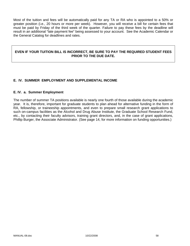Most of the tuition and fees will be automatically paid for any TA or RA who is appointed to a 50% or greater position (i.e., 20 hours or more per week). However, you will receive a bill for certain fees that must be paid by Friday of the third week of the quarter. Failure to pay these fees by the deadline will result in an additional "late payment fee" being assessed to your account. See the Academic Calendar or the General Catalog for deadlines and rates.

## **EVEN IF YOUR TUITION BILL IS INCORRECT, BE SURE TO PAY THE REQUIRED STUDENT FEES PRIOR TO THE DUE DATE.**

# **E. IV. SUMMER EMPLOYMENT AND SUPPLEMENTAL INCOME**

#### **E. IV. a. Summer Employment**

The number of summer TA positions available is nearly one fourth of those available during the academic year. It is, therefore, important for graduate students to plan ahead for alternative funding in the form of RA, fellowship, or traineeship appointments, and even to prepare small research grant applications to such on-campus facilities as the Alcohol and Drug Abuse Institute, the Graduate School Research Fund, etc., by contacting their faculty advisors, training grant directors, and, in the case of grant applications, Phillip Burger, the Associate Administrator. (See page 14, for more information on funding opportunities.)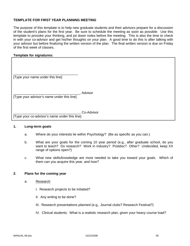## **TEMPLATE FOR FIRST YEAR PLANNING MEETING**

The purpose of this template is to help new graduate students and their advisors prepare for a discussion of the student's plans for the first year. Be sure to schedule the meeting as soon as possible. Use this template to provoke your thinking, and jot down notes before the meeting. This is also the time to check in with your co-advisor and get his/her thoughts on your plan. A good time to do this is after talking with your advisor but before finalizing the written version of the plan. The final written version is due on Friday of the first week of classes.

#### **Template for signatures:**

| [Type your name under this line]              |            |
|-----------------------------------------------|------------|
| [Type your advisor's name under this line]    | Advisor    |
| [Type your co-advisor's name under this line] | Co-Advisor |

#### **1. Long-term goals**

- a. Where do your interests lie within Psychology? (Be as specific as you can.)
- b. What are your goals for the coming 10 year period (e.g., after graduate school, do you want to teach? Do research? Work in industry? Postdoc? Other? Undecided, keep XX range of options open?)
- c. What new skills/knowledge are most needed to take you toward your goals. Which of them can you acquire this year, and how?

#### **2. Plans for the coming year**

- a. Research
	- I. Research projects to be initiated?
	- II. Any writing to be done?
	- III. Research presentations planned (e.g., Journal clubs? Research Festival?)
	- IV. Clinical students: What is a realistic research plan, given your heavy course load?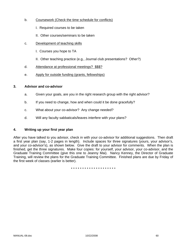- b. Coursework (Check the time schedule for conflicts)
	- I. Required courses to be taken
	- II. Other courses/seminars to be taken
- c. Development of teaching skills
	- I. Courses you hope to TA
	- II. Other teaching practice (e.g., Journal club presentations? Other?)
- d. Attendance at professional meetings? \$\$\$?
- e. Apply for outside funding (grants, fellowships)

#### **3. Advisor and co-advisor**

- a. Given your goals, are you in the right research group with the right advisor?
- b. If you need to change, how and when could it be done gracefully?
- c. What about your co-advisor? Any change needed?
- d. Will any faculty sabbaticals/leaves interfere with your plans?

#### **4. Writing up your first year plan**

After you have talked to you advisor, check in with your co-advisor for additional suggestions. Then draft a first year plan (say, 1-2 pages in length). Include spaces for three signatures (yours, your advisor's, and your co-advisor's), as shown below. Give the draft to your advisor for comments. When the plan is finished, get the three signatures. Make four copies: for yourself, your advisor, your co-advisor, and the Graduate Training Committee (give this one to Jeanny Mai). Nancy Kenney, the Director of Graduate Training, will review the plans for the Graduate Training Committee. Finished plans are due by Friday of the first week of classes (earlier is better).

\* \* \* \* \* \* \* \* \* \* \* \* \* \* \* \* \* \* \* \*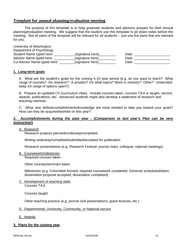# **Template for annual planning/evaluation meeting**

The purpose of this template is to help graduate students and advisors prepare for their annual planning/evaluation meeting. We suggest that the student use this template to jot down notes before the meeting. Not all parts of the template will be relevant for all students -- just use the parts that are relevant for you.

University of Washington Department of Psychology Student Name typed here: \_\_\_\_\_\_\_\_\_\_(signature here)\_\_\_\_\_\_\_\_\_\_\_\_ Date: \_\_\_\_\_\_\_\_\_\_\_\_\_\_\_\_\_ Advisor Name typed here: \_\_\_\_\_\_\_\_\_\_\_(signature here)\_\_\_\_\_\_\_\_\_ Date: \_\_\_\_\_\_\_\_\_\_\_\_\_\_\_\_\_\_\_ Co-Advisor Name typed here: <br>
(signature here) Date: Date: Date: 2014

## **1. Long-term goals**

A. What are the student's goals for the coming 5-10 year period (e.g. do you want to teach? What range of courses? Do research? A postdoc? On what topics? Work in industry? Other? Undecided, keep XX range of options open?)

B. Prepare an updated CV (curriculum vitae). Include courses taken, courses TA'd or taught, service, awards, publications, etc. Advanced students might also develop a statement of research and teaching interests.

C. What new skills/accomplishments/knowledge are most needed to take you toward your goals? How can they be acquired/worked on this year?

## **2. Accomplishments during the past year - (***Comparison to last year's Plan can be very instructive!***)**

#### A. Research

Research projects planned/underway/completed

Writing underway/completed/submitted/accepted for publication

Research presentations (e.g. Research Festival; journal clubs; colloquia; national meetings)

#### B. Coursework/milestones

Required courses taken

Other courses/seminars taken

 Milestones (e.g. Committee formed; required coursework completed; Generals scheduled/taken; dissertation proposal accepted; dissertation completed)

#### C. Development of teaching skills Courses TA'd

Courses taught

Other teaching practice (e.g. journal club presentations, guest lectures, etc.)

## D. Departmental, University, Community, or National service

E. Awards

#### **3. Plans for the coming year**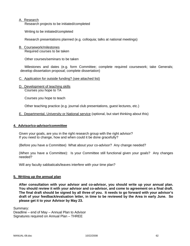## A. Research

Research projects to be initiated/completed

Writing to be initiated/completed

Research presentations planned (e.g. colloquia; talks at national meetings)

B. Coursework/milestones Required courses to be taken

Other courses/seminars to be taken

 Milestones and dates (e.g. form Committee; complete required coursework; take Generals; develop dissertation proposal; complete dissertation)

#### C. Application for outside funding? (see attached list)

D. Development of teaching skills Courses you hope to TA

Courses you hope to teach

Other teaching practice (e.g. journal club presentations, guest lectures, etc.)

E. Departmental, University or National service (optional, but start thinking about this)

#### **4. Advisor/co-advisor/committee**

Given your goals, are you in the right research group with the right advisor? If you need to change, how and when could it be done gracefully?

(Before you have a Committee) What about your co-advisor? Any change needed?

(When you have a Committee): Is your Committee still functional given your goals? Any changes needed?

Will any faculty sabbaticals/leaves interfere with your time plan?

#### **5. Writing up the annual plan**

**After consultation with your advisor and co-advisor, you should write up your annual plan. You should review it with your advisor and co-advisor, and come to agreement on a final draft. The final draft should be signed by all three of you. It needs to go forward with your advisor's draft of your feedback/evaluation letter, in time to be reviewed by the Area in early June. So please get it to your Advisor by May 23.** 

Summary:

Deadline – end of May – Annual Plan to Advisor Signatures required on Annual Plan – THREE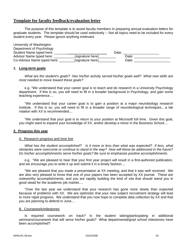# **Template for faculty feedback/evaluation letter**

 The purpose of this template is to assist faculty members in preparing annual evaluation letters for graduate students. The template should be used selectively -- Not all topics need to be included for every student every year. Please ignore anything irrelevant.

University of Washington Department of Psychology Student Name typed here: \_\_\_\_\_\_\_ Date: \_\_\_\_\_\_\_\_\_\_\_\_\_\_\_\_\_\_\_ Advisor Name typed here: \_\_\_\_\_\_\_\_\_\_\_(signature here)\_\_\_\_\_\_\_\_\_ Date: \_\_\_\_\_\_\_\_\_\_\_\_\_\_\_\_\_\_\_ Co-Advisor Name typed here: example (signature here)

## **1. Long-term goals**

 *What are the student's goals? Has his/her activity served his/her goals well? What new skills are most needed to move toward these goals?* 

e.g. "We understand that your career goal is to teach and do research in a University Psychology department. If this is so, you will need to fill in a broader background in Psychology, and gain some teaching experience....

 "We understand that your career goal is to gain a position at a major neurobiology research institute. If this is so, you will need to fill in a broader range of neurobiological techniques....a lab rotation with XX is recommended....

 "We understand that your goal is to return to your position at Microsoft full time. Given this goal, you might want to expand your knowledge of XX, and/or develop a minor in the Business School....

#### **2. Progress this year**

#### A. Research progress and time line

 *What has the student accomplished? Is it more or less than what was expected? If less, what obstacles were overcome or continue to stand in the way? How will these be addressed in the future? Do his/her accomplishments serve his/her goals? Be sure to emphasize positive accomplishments.* 

 e.g. "We are pleased to hear that your first year project will result in a first-authored publication, and we encourage you to write it up and submit it in a timely fashion....

 "We are pleased that you made a presentation at XX meeting, and that it was well received. We are also very pleased to know that one of your papers has been accepted by XX journal. These are noteworthy accomplishments, and you are rapidly building the kind of *vita* that should stand you in good stead for the academic job market....

 "Over the last year we understand that your research has gone more slowly than expected because of problems with XX. We are optimistic that your new subject recruitment strategy will lead to more rapid progress. We understand that you now hope to complete data collection by XX and that you are planning to defend in June....

#### B. Coursework/milestones

 Is required coursework on track? Is the student taking/participating in additional seminars/coursework that will serve his/her goals? What departmental/grad school milestones have been accomplished?